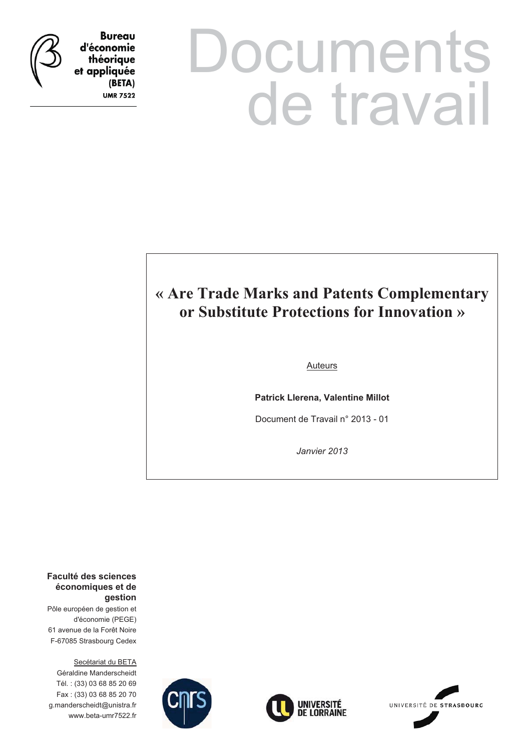

**Bureau** d'économie théorique et appliquée (BETA) **UMR 7522** 

# **Documents** de travail

# **« Are Trade Marks and Patents Complementary or Substitute Protections for Innovation »**

# **Auteurs**

**Patrick Llerena, Valentine Millot** 

Document de Travail n° 2013 - 01

*Janvier 2013* 

**Faculté des sciences économiques et de gestion**

Pôle européen de gestion et d'économie (PEGE) 61 avenue de la Forêt Noire F-67085 Strasbourg Cedex

Secétariat du BETA Géraldine Manderscheidt Tél. : (33) 03 68 85 20 69 Fax : (33) 03 68 85 20 70 g.manderscheidt@unistra.fr www.beta-umr7522.fr





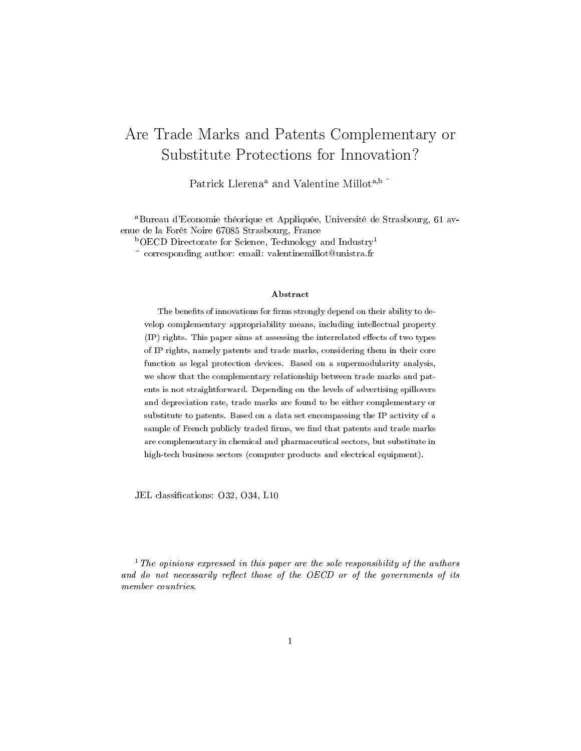# Are Trade Marks and Patents Complementary or Substitute Protections for Innovation?

Patrick Llerena<sup>a</sup> and Valentine Millot<sup>a,b</sup>

<sup>a</sup>Bureau d'Economie théorique et Appliquée, Université de Strasbourg, 61 avenue de la Forêt Noire 67085 Strasbourg, France

 $b$ OECD Directorate for Science, Technology and Industry<sup>1</sup>

^ corresponding author: email: valentinemillot@unistra.fr

#### Abstract

The benefits of innovations for firms strongly depend on their ability to develop complementary appropriability means, including intellectual property  $(IP)$  rights. This paper aims at assessing the interrelated effects of two types of IP rights, namely patents and trade marks, considering them in their core function as legal protection devices. Based on a supermodularity analysis, we show that the complementary relationship between trade marks and patents is not straightforward. Depending on the levels of advertising spillovers and depreciation rate, trade marks are found to be either complementary or substitute to patents. Based on a data set encompassing the IP activity of a sample of French publicly traded firms, we find that patents and trade marks are complementary in chemical and pharmaceutical sectors, but substitute in high-tech business sectors (computer products and electrical equipment).

JEL classifications: O32, O34, L10

 $1$  The opinions expressed in this paper are the sole responsibility of the authors and do not necessarily reflect those of the OECD or of the governments of its member countries.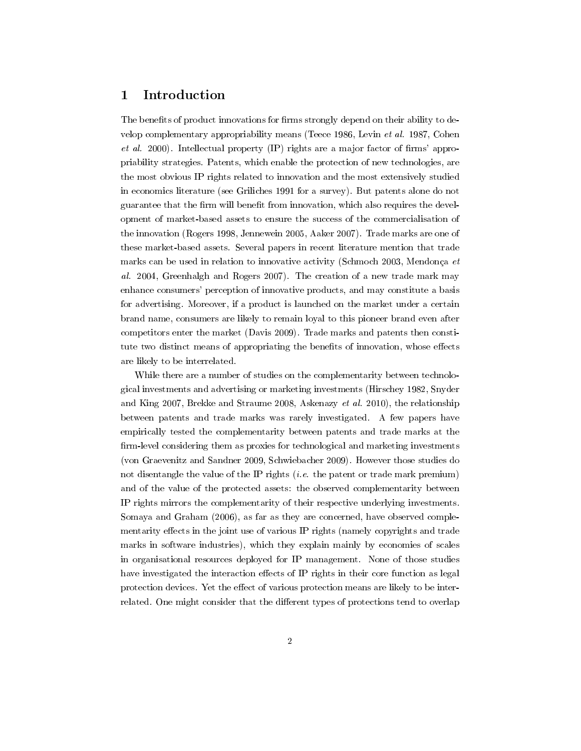# 1 Introduction

The benefits of product innovations for firms strongly depend on their ability to develop complementary appropriability means (Teece 1986, Levin et al. 1987, Cohen et al. 2000). Intellectual property  $(IP)$  rights are a major factor of firms' appropriability strategies. Patents, which enable the protection of new technologies, are the most obvious IP rights related to innovation and the most extensively studied in economics literature (see Griliches 1991 for a survey). But patents alone do not guarantee that the firm will benefit from innovation, which also requires the development of market-based assets to ensure the success of the commercialisation of the innovation (Rogers 1998, Jennewein 2005, Aaker 2007). Trade marks are one of these market-based assets. Several papers in recent literature mention that trade marks can be used in relation to innovative activity (Schmoch 2003, Mendonça et al. 2004, Greenhalgh and Rogers 2007). The creation of a new trade mark may enhance consumers' perception of innovative products, and may constitute a basis for advertising. Moreover, if a product is launched on the market under a certain brand name, consumers are likely to remain loyal to this pioneer brand even after competitors enter the market (Davis 2009). Trade marks and patents then constitute two distinct means of appropriating the benefits of innovation, whose effects are likely to be interrelated.

While there are a number of studies on the complementarity between technological investments and advertising or marketing investments (Hirschey 1982, Snyder and King 2007, Brekke and Straume 2008, Askenazy et al. 2010), the relationship between patents and trade marks was rarely investigated. A few papers have empirically tested the complementarity between patents and trade marks at the firm-level considering them as proxies for technological and marketing investments (von Graevenitz and Sandner 2009, Schwiebacher 2009). However those studies do not disentangle the value of the IP rights  $(i.e.$  the patent or trade mark premium) and of the value of the protected assets: the observed complementarity between IP rights mirrors the complementarity of their respective underlying investments. Somaya and Graham (2006), as far as they are concerned, have observed complementarity effects in the joint use of various IP rights (namely copyrights and trade marks in software industries), which they explain mainly by economies of scales in organisational resources deployed for IP management. None of those studies have investigated the interaction effects of IP rights in their core function as legal protection devices. Yet the effect of various protection means are likely to be interrelated. One might consider that the different types of protections tend to overlap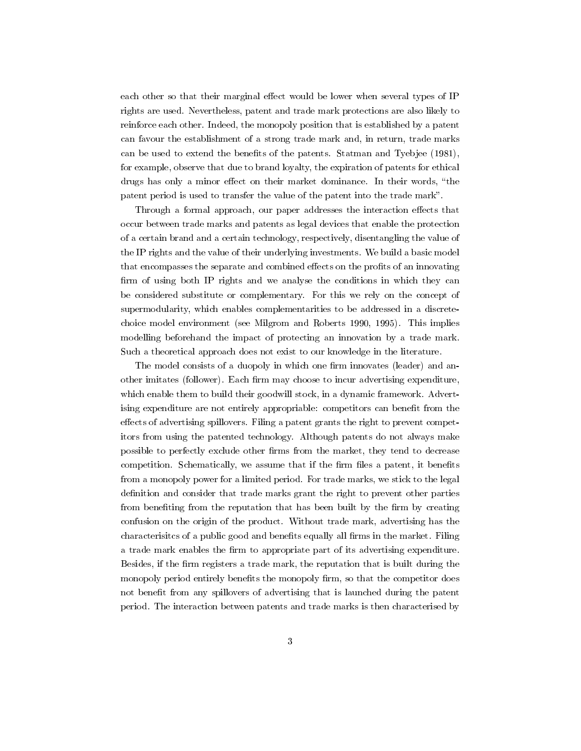each other so that their marginal effect would be lower when several types of IP rights are used. Nevertheless, patent and trade mark protections are also likely to reinforce each other. Indeed, the monopoly position that is established by a patent can favour the establishment of a strong trade mark and, in return, trade marks can be used to extend the benefits of the patents. Statman and Tyebjee (1981), for example, observe that due to brand loyalty, the expiration of patents for ethical drugs has only a minor effect on their market dominance. In their words, "the patent period is used to transfer the value of the patent into the trade mark.

Through a formal approach, our paper addresses the interaction effects that occur between trade marks and patents as legal devices that enable the protection of a certain brand and a certain technology, respectively, disentangling the value of the IP rights and the value of their underlying investments. We build a basic model that encompasses the separate and combined effects on the profits of an innovating firm of using both IP rights and we analyse the conditions in which they can be considered substitute or complementary. For this we rely on the concept of supermodularity, which enables complementarities to be addressed in a discretechoice model environment (see Milgrom and Roberts 1990, 1995). This implies modelling beforehand the impact of protecting an innovation by a trade mark. Such a theoretical approach does not exist to our knowledge in the literature.

The model consists of a duopoly in which one firm innovates (leader) and another imitates (follower). Each firm may choose to incur advertising expenditure, which enable them to build their goodwill stock, in a dynamic framework. Advertising expenditure are not entirely appropriable: competitors can benefit from the effects of advertising spillovers. Filing a patent grants the right to prevent competitors from using the patented technology. Although patents do not always make possible to perfectly exclude other firms from the market, they tend to decrease competition. Schematically, we assume that if the firm files a patent, it benefits from a monopoly power for a limited period. For trade marks, we stick to the legal definition and consider that trade marks grant the right to prevent other parties from benefiting from the reputation that has been built by the firm by creating confusion on the origin of the product. Without trade mark, advertising has the characterisities of a public good and benefits equally all firms in the market. Filing a trade mark enables the firm to appropriate part of its advertising expenditure. Besides, if the firm registers a trade mark, the reputation that is built during the monopoly period entirely benefits the monopoly firm, so that the competitor does not benefit from any spillovers of advertising that is launched during the patent period. The interaction between patents and trade marks is then characterised by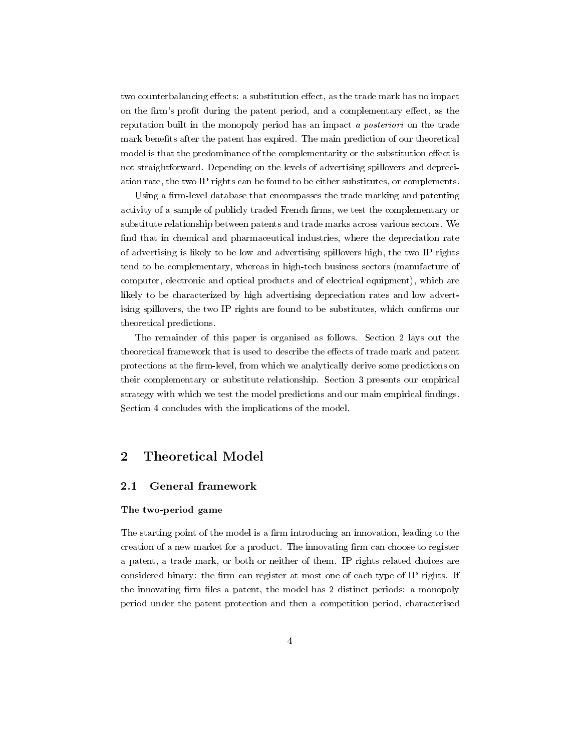two counterbalancing effects: a substitution effect, as the trade mark has no impact on the firm's profit during the patent period, and a complementary effect, as the reputation built in the monopoly period has an impact a posteriori on the trade mark benefits after the patent has expired. The main prediction of our theoretical model is that the predominance of the complementarity or the substitution effect is not straightforward. Depending on the levels of advertising spillovers and depreciation rate, the two IP rights can be found to be either substitutes, or complements.

Using a firm-level database that encompasses the trade marking and patenting activity of a sample of publicly traded French firms, we test the complementary or substitute relationship between patents and trade marks across various sectors. We find that in chemical and pharmaceutical industries, where the depreciation rate of advertising is likely to be low and advertising spillovers high, the two IP rights tend to be complementary, whereas in high-tech business sectors (manufacture of computer, electronic and optical products and of electrical equipment), which are likely to be characterized by high advertising depreciation rates and low advertising spillovers, the two IP rights are found to be substitutes, which confirms our theoretical predictions.

The remainder of this paper is organised as follows. Section 2 lays out the theoretical framework that is used to describe the effects of trade mark and patent protections at the firm-level, from which we analytically derive some predictions on their complementary or substitute relationship. Section 3 presents our empirical strategy with which we test the model predictions and our main empirical findings. Section 4 concludes with the implications of the model.

## 2 Theoretical Model

#### 2.1 General framework

#### The two-period game

The starting point of the model is a firm introducing an innovation, leading to the creation of a new market for a product. The innovating firm can choose to register a patent, a trade mark, or both or neither of them. IP rights related choices are considered binary: the firm can register at most one of each type of IP rights. If the innovating firm files a patent, the model has 2 distinct periods: a monopoly period under the patent protection and then a competition period, characterised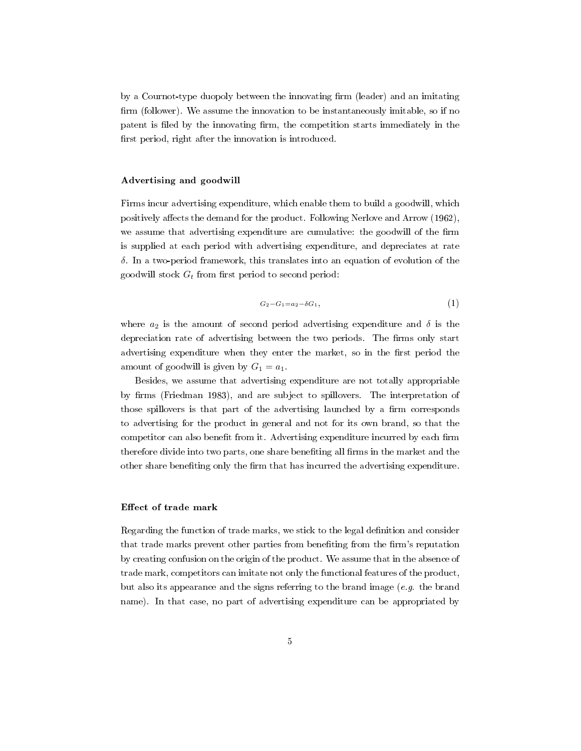by a Cournot-type duopoly between the innovating firm (leader) and an imitating firm (follower). We assume the innovation to be instantaneously imitable, so if no patent is filed by the innovating firm, the competition starts immediately in the first period, right after the innovation is introduced.

#### Advertising and goodwill

Firms incur advertising expenditure, which enable them to build a goodwill, which positively affects the demand for the product. Following Nerlove and Arrow (1962), we assume that advertising expenditure are cumulative: the goodwill of the firm is supplied at each period with advertising expenditure, and depreciates at rate *δ*. In a two-period framework, this translates into an equation of evolution of the goodwill stock  $G_t$  from first period to second period:

$$
G_2 - G_1 = a_2 - \delta G_1, \tag{1}
$$

where  $a_2$  is the amount of second period advertising expenditure and  $\delta$  is the depreciation rate of advertising between the two periods. The firms only start advertising expenditure when they enter the market, so in the first period the amount of goodwill is given by  $G_1 = a_1$ .

Besides, we assume that advertising expenditure are not totally appropriable by firms (Friedman 1983), and are subject to spillovers. The interpretation of those spillovers is that part of the advertising launched by a firm corresponds to advertising for the product in general and not for its own brand, so that the competitor can also benefit from it. Advertising expenditure incurred by each firm therefore divide into two parts, one share benefiting all firms in the market and the other share beneting only the rm that has incurred the advertising expenditure.

#### Effect of trade mark

Regarding the function of trade marks, we stick to the legal denition and consider that trade marks prevent other parties from benefiting from the firm's reputation by creating confusion on the origin of the product. We assume that in the absence of trade mark, competitors can imitate not only the functional features of the product, but also its appearance and the signs referring to the brand image  $(e.g.$  the brand name). In that case, no part of advertising expenditure can be appropriated by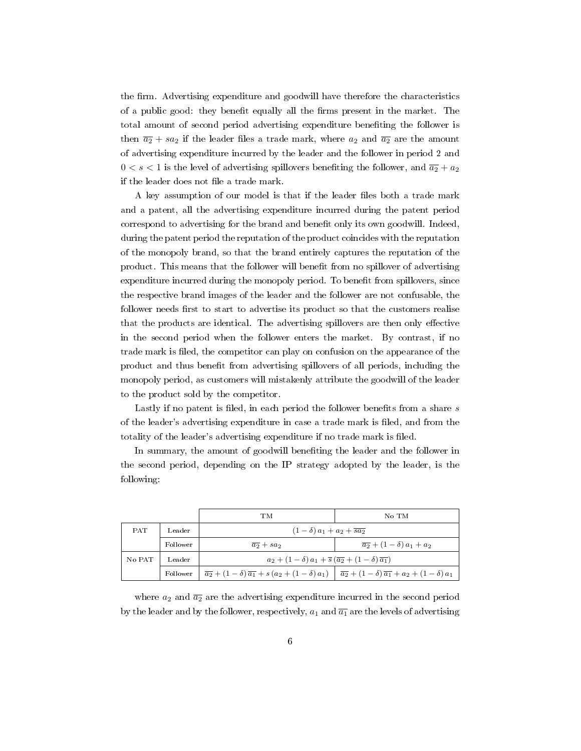the firm. Advertising expenditure and goodwill have therefore the characteristics of a public good: they benefit equally all the firms present in the market. The total amount of second period advertising expenditure beneting the follower is then  $\overline{a_2} + sa_2$  if the leader files a trade mark, where  $a_2$  and  $\overline{a_2}$  are the amount of advertising expenditure incurred by the leader and the follower in period 2 and  $0 < s < 1$  is the level of advertising spillovers benefiting the follower, and  $\overline{a_2} + a_2$ if the leader does not file a trade mark.

A key assumption of our model is that if the leader files both a trade mark and a patent, all the advertising expenditure incurred during the patent period correspond to advertising for the brand and benefit only its own goodwill. Indeed, during the patent period the reputation of the product coincides with the reputation of the monopoly brand, so that the brand entirely captures the reputation of the product. This means that the follower will benet from no spillover of advertising expenditure incurred during the monopoly period. To benefit from spillovers, since the respective brand images of the leader and the follower are not confusable, the follower needs first to start to advertise its product so that the customers realise that the products are identical. The advertising spillovers are then only effective in the second period when the follower enters the market. By contrast, if no trade mark is led, the competitor can play on confusion on the appearance of the product and thus benefit from advertising spillovers of all periods, including the monopoly period, as customers will mistakenly attribute the goodwill of the leader to the product sold by the competitor.

Lastly if no patent is filed, in each period the follower benefits from a share *s* of the leader's advertising expenditure in case a trade mark is filed, and from the totality of the leader's advertising expenditure if no trade mark is filed.

In summary, the amount of goodwill beneting the leader and the follower in the second period, depending on the IP strategy adopted by the leader, is the following:

|            |          | TМ                                                                                                                                     | No TM                                  |  |  |
|------------|----------|----------------------------------------------------------------------------------------------------------------------------------------|----------------------------------------|--|--|
| <b>PAT</b> | Leader   | $(1-\delta)a_1 + a_2 + \overline{sa_2}$                                                                                                |                                        |  |  |
|            | Follower | $\overline{a_2} + sa_2$                                                                                                                | $\overline{a_2} + (1-\delta)a_1 + a_2$ |  |  |
| No PAT     | Leader   | $a_2+(1-\delta)a_1+\overline{s}(\overline{a_2}+(1-\delta)\overline{a_1})$                                                              |                                        |  |  |
|            | Follower | $\overline{a_2} + (1-\delta)\overline{a_1} + s(a_2 + (1-\delta)a_1)$ $\overline{a_2} + (1-\delta)\overline{a_1} + a_2 + (1-\delta)a_1$ |                                        |  |  |

where  $a_2$  and  $\overline{a_2}$  are the advertising expenditure incurred in the second period by the leader and by the follower, respectively,  $a_1$  and  $\overline{a_1}$  are the levels of advertising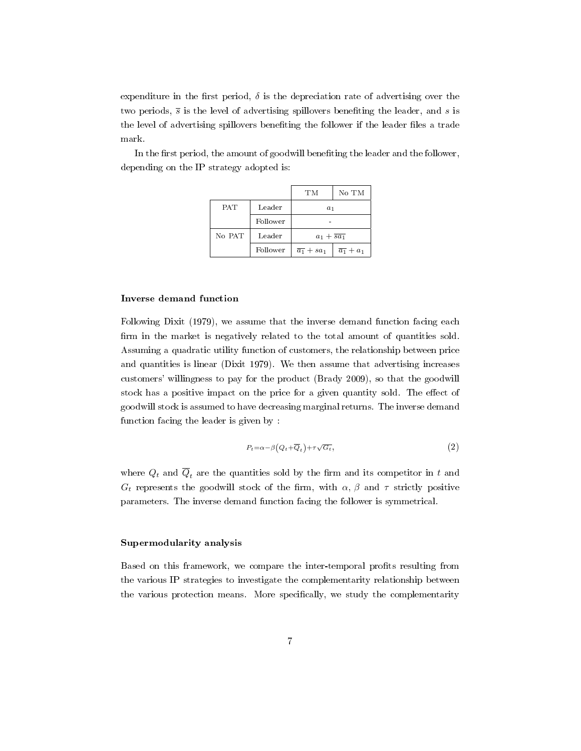expenditure in the first period,  $\delta$  is the depreciation rate of advertising over the two periods,  $\overline{s}$  is the level of advertising spillovers benefiting the leader, and *s* is the level of advertising spillovers benefiting the follower if the leader files a trade mark.

> TM No TM PAT Leader *a*<sup>1</sup> Follower | The set of the set of the set of the set of the set of the set of the set of the set of the set of the set of the set of the set of the set of the set of the set of the set of the set of the set of the set of th No PAT | Leader  $a_1 + \overline{sa_1}$

> > Follower  $\frac{\overline{a_1} + sa_1}{\overline{a_1} + a_1}$

In the first period, the amount of goodwill benefiting the leader and the follower, depending on the IP strategy adopted is:

#### Inverse demand function

Following Dixit (1979), we assume that the inverse demand function facing each firm in the market is negatively related to the total amount of quantities sold. Assuming a quadratic utility function of customers, the relationship between price and quantities is linear (Dixit 1979). We then assume that advertising increases customers' willingness to pay for the product (Brady 2009), so that the goodwill stock has a positive impact on the price for a given quantity sold. The effect of goodwill stock is assumed to have decreasing marginal returns. The inverse demand function facing the leader is given by :

$$
P_t = \alpha - \beta \left(Q_t + \overline{Q}_t\right) + \tau \sqrt{G_t},\tag{2}
$$

where  $Q_t$  and  $\overline{Q}_t$  are the quantities sold by the firm and its competitor in  $t$  and *G*<sup>*t*</sup> represents the goodwill stock of the firm, with  $\alpha$ ,  $\beta$  and  $\tau$  strictly positive parameters. The inverse demand function facing the follower is symmetrical.

#### Supermodularity analysis

Based on this framework, we compare the inter-temporal prots resulting from the various IP strategies to investigate the complementarity relationship between the various protection means. More specifically, we study the complementarity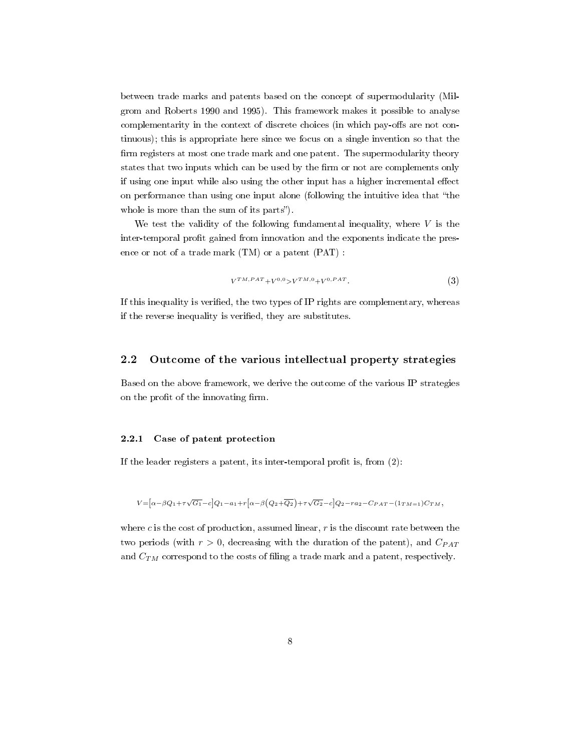between trade marks and patents based on the concept of supermodularity (Milgrom and Roberts 1990 and 1995). This framework makes it possible to analyse complementarity in the context of discrete choices (in which pay-offs are not continuous); this is appropriate here since we focus on a single invention so that the firm registers at most one trade mark and one patent. The supermodularity theory states that two inputs which can be used by the firm or not are complements only if using one input while also using the other input has a higher incremental effect on performance than using one input alone (following the intuitive idea that "the whole is more than the sum of its parts".

We test the validity of the following fundamental inequality, where  $V$  is the inter-temporal profit gained from innovation and the exponents indicate the presence or not of a trade mark (TM) or a patent (PAT) :

$$
V^{TM,PAT} + V^{0,0} > V^{TM,0} + V^{0,PAT}.
$$
\n(3)

If this inequality is veried, the two types of IP rights are complementary, whereas if the reverse inequality is verified, they are substitutes.

#### 2.2 Outcome of the various intellectual property strategies

Based on the above framework, we derive the outcome of the various IP strategies on the profit of the innovating firm.

#### 2.2.1 Case of patent protection

If the leader registers a patent, its inter-temporal profit is, from  $(2)$ :

$$
V\hspace{-.1cm}=\hspace{-.1cm}\big[\alpha-\beta Q_1+\tau\sqrt{G_1}-c\big]Q_1-a_1+r\big[\alpha-\beta\big(Q_2+\overline{Q_2}\big)+\tau\sqrt{G_2}-c\big]Q_2-ra_2-C_{PAT}-(1_{TM=1})C_{TM},
$$

where *c* is the cost of production, assumed linear, *r* is the discount rate between the two periods (with  $r > 0$ , decreasing with the duration of the patent), and  $C_{PAT}$ and  $C_{TM}$  correspond to the costs of filing a trade mark and a patent, respectively.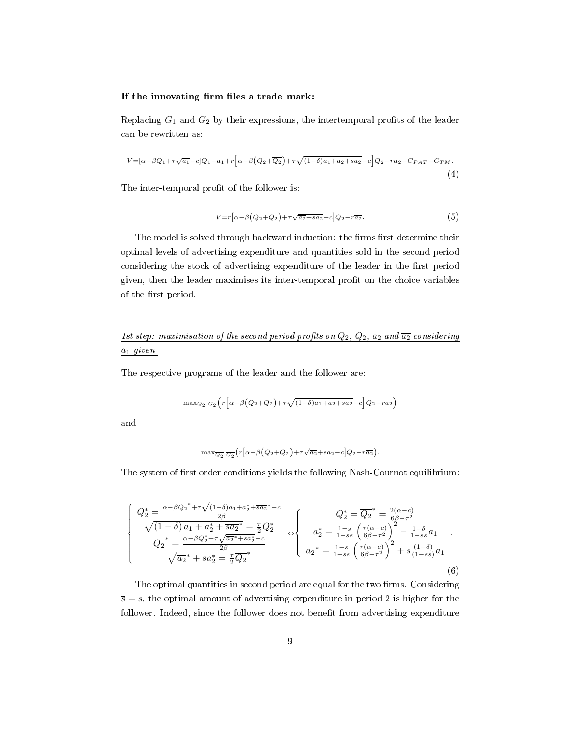#### If the innovating firm files a trade mark:

Replacing  $G_1$  and  $G_2$  by their expressions, the intertemporal profits of the leader can be rewritten as:

$$
V = [\alpha - \beta Q_1 + \tau \sqrt{a_1} - c]Q_1 - a_1 + r[\alpha - \beta (Q_2 + \overline{Q_2}) + \tau \sqrt{(1 - \delta)a_1 + a_2 + s a_2} - c]Q_2 - ra_2 - C_{PAT} - C_{TM}.
$$
\n
$$
\tag{4}
$$

The inter-temporal profit of the follower is:

$$
\overline{V} = r\left[\alpha - \beta\left(\overline{Q_2} + Q_2\right) + \tau\sqrt{\overline{a_2} + a_2} - c\right]\overline{Q_2} - r\overline{a_2}.
$$
\n<sup>(5)</sup>

The model is solved through backward induction: the firms first determine their optimal levels of advertising expenditure and quantities sold in the second period considering the stock of advertising expenditure of the leader in the first period given, then the leader maximises its inter-temporal profit on the choice variables of the first period.

# 1st step: maximisation of the second period profits on  $Q_2$ ,  $\overline{Q_2}$ ,  $a_2$  and  $\overline{a_2}$  considering *a*<sup>1</sup> given

The respective programs of the leader and the follower are:

$$
\max_{Q_2, G_2} \left( r \left[ \alpha - \beta \left( Q_2 + \overline{Q_2} \right) + \tau \sqrt{(1 - \delta) a_1 + a_2 + \overline{sa_2}} - c \right] Q_2 - ra_2 \right)
$$

and

$$
\max \overline{Q_2}, \overline{G_2} (r \big[ \alpha - \beta \big( \overline{Q_2} + Q_2 \big) + \tau \sqrt{\overline{a_2} + sa_2} - c \big] \overline{Q_2} - r \overline{a_2} \big).
$$

The system of first order conditions yields the following Nash-Cournot equilibrium:

$$
\begin{cases}\nQ_{2}^{*} = \frac{\alpha - \beta \overline{Q_{2}}^{*} + \tau \sqrt{(1 - \delta)a_{1} + a_{2}^{*} + \overline{s} \overline{a_{2}}^{*} - c}}{2\beta} \\
\sqrt{(1 - \delta)a_{1} + a_{2}^{*} + \overline{s} \overline{a_{2}}^{*}} = \frac{\tau}{2} Q_{2}^{*} \\
\overline{Q_{2}}^{*} = \frac{\alpha - \beta Q_{2}^{*} + \tau \sqrt{\overline{a_{2}}^{*} + s a_{2}^{*} - c}}{2\beta} \\
\sqrt{\overline{a_{2}}^{*} + s a_{2}^{*}} = \frac{\tau}{2} \overline{Q_{2}}^{*}\n\end{cases}\n\Rightarrow\n\begin{cases}\nQ_{2}^{*} = \overline{Q_{2}}^{*} = \frac{2(\alpha - c)}{6\beta - \tau^{2}} \\
a_{2}^{*} = \frac{1 - \overline{s}}{1 - \overline{s}s} \left(\frac{\tau(\alpha - c)}{6\beta - \tau^{2}}\right)^{2} - \frac{1 - \delta}{1 - \overline{s}s} a_{1} \\
\overline{a_{2}}^{*} = \frac{1 - s}{1 - \overline{s}s} \left(\frac{\tau(\alpha - c)}{6\beta - \tau^{2}}\right)^{2} + s \frac{(1 - \delta)}{(1 - \overline{s}s)} a_{1} \\
\overline{a_{2}}^{*} = \frac{1 - s}{1 - \overline{s}s} \left(\frac{\tau(\alpha - c)}{6\beta - \tau^{2}}\right)^{2} + s \frac{(1 - \delta)}{(1 - \overline{s}s)} a_{1}\n\end{cases}
$$
\n(6)

The optimal quantities in second period are equal for the two firms. Considering  $\overline{s} = s$ , the optimal amount of advertising expenditure in period 2 is higher for the follower. Indeed, since the follower does not benefit from advertising expenditure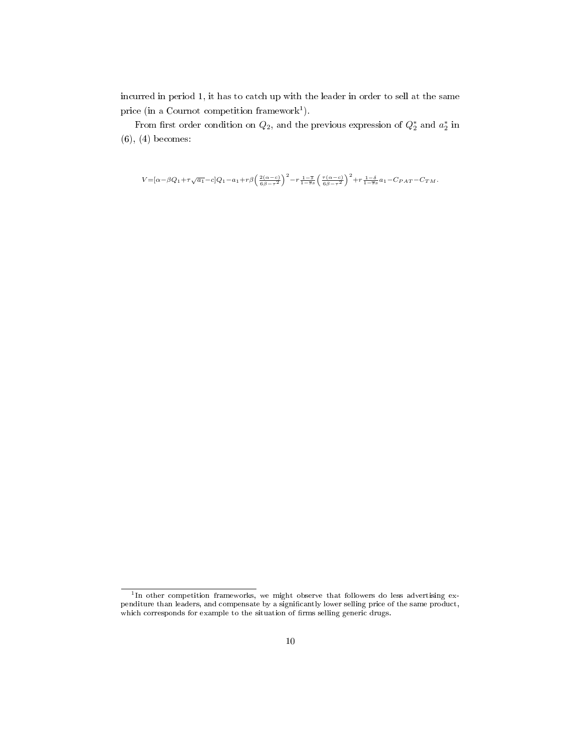incurred in period 1, it has to catch up with the leader in order to sell at the same price (in a Cournot competition framework<sup>1</sup>).

From first order condition on  $Q_2$ , and the previous expression of  $Q_2^*$  and  $a_2^*$  in (6), (4) becomes:

 $V\!=\!\!\left[\alpha-\beta Q_1\!+\!\tau\sqrt{a_1}\!-\!c\right]\!Q_1-a_1\!+\!r\beta\!\left(\frac{2(\alpha-c)}{6\beta-\tau^2}\right)^2\!-\!r\,\frac{1-\overline{s}}{1-\overline{s}s}\!\left(\frac{\tau(\alpha-c)}{6\beta-\tau^2}\right)^2\!+\!r\,\frac{1-\delta}{1-\overline{s}s}a_1\!-\!C_{PAT}\!-\!C_{T\,M}.$ 

<sup>&</sup>lt;sup>1</sup>In other competition frameworks, we might observe that followers do less advertising expenditure than leaders, and compensate by a significantly lower selling price of the same product, which corresponds for example to the situation of firms selling generic drugs.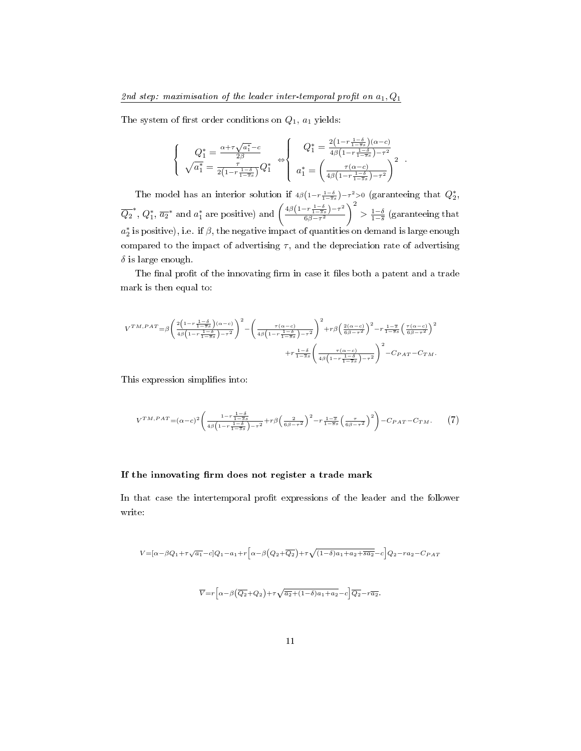#### 2nd step: maximisation of the leader inter-temporal profit on  $a_1, Q_1$

The system of first order conditions on  $Q_1$ ,  $a_1$  yields:

$$
\begin{cases}\nQ_1^* = \frac{\alpha + \tau \sqrt{a_1^*} - c}{2\beta} \\
\sqrt{a_1^*} = \frac{\tau}{2(1 - r \frac{1 - \delta}{1 - \overline{s}s})} Q_1^* \n\end{cases}\n\Leftrightarrow\n\begin{cases}\nQ_1^* = \frac{2(1 - r \frac{1 - \delta}{1 - \overline{s}s})(\alpha - c)}{4\beta(1 - r \frac{1 - \delta}{1 - \overline{s}s}) - \tau^2} \\
a_1^* = \left(\frac{\tau(\alpha - c)}{4\beta(1 - r \frac{1 - \delta}{1 - \overline{s}s}) - \tau^2}\right)^2\n\end{cases}.
$$

The model has an interior solution if  $4\beta(1-r\frac{1-\delta}{1-\overline{s}s})-\tau^2>0$  (garanteeing that  $Q_2^*$ ,  $\overline{Q_2}^*$ ,  $Q_1^*$ ,  $\overline{a_2}^*$  and  $a_1^*$  are positive) and  $\left(\frac{4\beta(1-r\frac{1-\delta}{1-8s})-\tau^2}{6\beta-r^2}\right)$ 6*β−τ* 2  $\setminus^2$  $> \frac{1-\delta}{1-\overline{s}}$  (garanteeing that  $a_2^\ast$  is positive), i.e. if  $\beta,$  the negative impact of quantities on demand is large enough compared to the impact of advertising  $\tau$ , and the depreciation rate of advertising *δ* is large enough.

The final profit of the innovating firm in case it files both a patent and a trade mark is then equal to:

$$
\begin{split} V^{TM,PAT} =& \beta \Bigg(\frac{2\Big(1-r\frac{1-\delta}{1-\overline{s}s}\Big)(\alpha-c)}{4\beta\Big(1-r\frac{1-\delta}{1-\overline{s}s}\Big)-\tau^2}\Bigg)^2 - \Bigg(\frac{\tau(\alpha-c)}{4\beta\Big(1-r\frac{1-\delta}{1-\overline{s}s}\Big)-\tau^2}\Bigg)^2 + r\beta\Big(\frac{2(\alpha-c)}{6\beta-\tau^2}\Big)^2 - r\frac{1-\overline{s}}{1-\overline{s}s}\left(\frac{\tau(\alpha-c)}{6\beta-\tau^2}\right)^2 \\ &\qquad\qquad + r\frac{1-\delta}{1-\overline{s}s}\left(\frac{\tau(\alpha-c)}{4\beta\Big(1-r\frac{1-\delta}{1-\overline{s}s}\Big)-\tau^2}\right)^2 - C_{PAT}-C_{TM}. \end{split}
$$

This expression simplifies into:

$$
V^{TM,PAT} = (\alpha - c)^2 \left( \frac{1 - r\frac{1 - \delta}{1 - \delta s}}{4\beta \left(1 - r\frac{1 - \delta}{1 - \delta s}\right) - \tau^2} + r\beta \left(\frac{2}{6\beta - \tau^2}\right)^2 - r\frac{1 - \delta}{1 - \delta s} \left(\frac{\tau}{6\beta - \tau^2}\right)^2 \right) - C_{PAT} - C_{TM}.
$$
 (7)

#### If the innovating firm does not register a trade mark

In that case the intertemporal profit expressions of the leader and the follower write:

$$
V\hspace{-.1cm}=\hspace{-.1cm}[\alpha-\beta Q_1+\tau\sqrt{a_1}-c]Q_1-a_1+r\Big[\alpha-\beta\Big(Q_2+\overline{Q_2}\Big)+\tau\sqrt{(1-\delta)a_1+a_2+\overline{sa_2}}-c\Big]Q_2-ra_2-C_{PAT}
$$

$$
\overline{V} = r \left[ \alpha - \beta \left( \overline{Q_2} + Q_2 \right) + \tau \sqrt{\overline{a_2} + (1 - \delta) a_1 + a_2} - c \right] \overline{Q_2} - r \overline{a_2}.
$$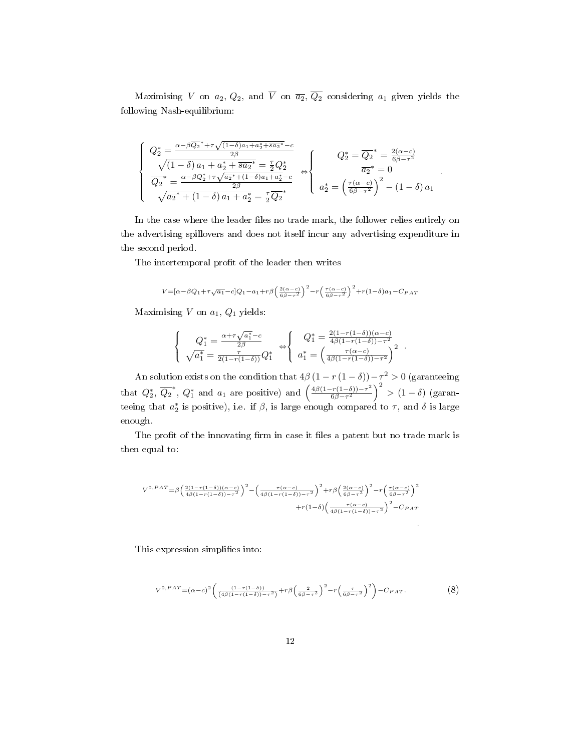Maximising *V* on  $a_2$ ,  $Q_2$ , and  $\overline{V}$  on  $\overline{a_2}$ ,  $\overline{Q_2}$  considering  $a_1$  given yields the following Nash-equilibrium:

$$
\begin{cases}\nQ_2^* = \frac{\alpha - \beta \overline{Q_2}^* + \tau \sqrt{(1-\delta)a_1 + a_2^* + \overline{sa_2}^* - c}}{2\beta} \\
\sqrt{(1-\delta)a_1 + a_2^* + \overline{sa_2}^*} = \frac{\tau}{2} Q_2^* \\
\overline{Q_2}^* = \frac{\alpha - \beta Q_2^* + \tau \sqrt{\overline{a_2}^* + (1-\delta)a_1 + a_2^* - c}}{2\beta} \\
\sqrt{\overline{a_2}^* + (1-\delta)a_1 + a_2^*} = \frac{\tau}{2} \overline{Q_2}^* \\
a_2^* = \left(\frac{\tau(\alpha - c)}{6\beta - \tau^2}\right)^2 - (1-\delta)a_1 \\
\end{cases}
$$

In the case where the leader files no trade mark, the follower relies entirely on the advertising spillovers and does not itself incur any advertising expenditure in the second period.

The intertemporal profit of the leader then writes

$$
V\!=\!\left[\alpha\!-\!\beta Q_1\!+\!\tau\sqrt{a_1}\!-\!c\right]\!Q_1-a_1\!+\!r\beta\!\left(\tfrac{2\left(\alpha-c\right)}{6\beta-\tau^2}\right)^2\!-\!r\!\left(\tfrac{\tau\left(\alpha-c\right)}{6\beta-\tau^2}\right)^2\!+\!r(1\!-\!\delta)a_1\!-\!C_{PATH}
$$

Maximising *V* on *a*1*, Q*<sup>1</sup> yields:

$$
\begin{cases}\nQ_1^* = \frac{\alpha + \tau \sqrt{a_1^*} - c}{2\beta} \\
\sqrt{a_1^*} = \frac{\tau}{2(1 - r(1 - \delta))} Q_1^* \n\end{cases}\n\Leftrightarrow\n\begin{cases}\nQ_1^* = \frac{2(1 - r(1 - \delta))(\alpha - c)}{4\beta(1 - r(1 - \delta)) - \tau^2} \\
a_1^* = \left(\frac{\tau(\alpha - c)}{4\beta(1 - r(1 - \delta)) - \tau^2}\right)^2\n\end{cases}.
$$

An solution exists on the condition that  $4\beta (1 - r(1 - \delta)) - \tau^2 > 0$  (garanteeing that  $Q_2^*$ ,  $\overline{Q_2}^*$ ,  $Q_1^*$  and  $a_1$  are positive) and  $\left(\frac{4\beta(1-r(1-\delta))-\tau^2}{6\beta-\tau^2}\right)$  $\left(\frac{(-\delta)}{6\beta - \tau^2}\right)^2 > (1 - \delta)$  (garanteeing that  $a_2^*$  is positive), i.e. if  $\beta$ , is large enough compared to  $\tau$ , and  $\delta$  is large enough.

The profit of the innovating firm in case it files a patent but no trade mark is then equal to:

$$
V^{0,PAT} = \beta \left(\frac{2(1-r(1-\delta))(\alpha-c)}{4\beta(1-r(1-\delta))- \tau^2}\right)^2 - \left(\frac{\tau(\alpha-c)}{4\beta(1-r(1-\delta))- \tau^2}\right)^2 + r\beta \left(\frac{2(\alpha-c)}{6\beta-\tau^2}\right)^2 - r\left(\frac{\tau(\alpha-c)}{6\beta-\tau^2}\right)^2
$$

$$
+ r(1-\delta)\left(\frac{\tau(\alpha-c)}{4\beta(1-r(1-\delta))- \tau^2}\right)^2 - C_{PAT}
$$

This expression simplifies into:

$$
V^{0,PAT} = (\alpha - c)^2 \left( \frac{(1 - r(1 - \delta))}{(4\beta(1 - r(1 - \delta)) - \tau^2)} + r\beta \left( \frac{2}{6\beta - \tau^2} \right)^2 - r \left( \frac{\tau}{6\beta - \tau^2} \right)^2 \right) - C_{PAT}.
$$
 (8)

*.*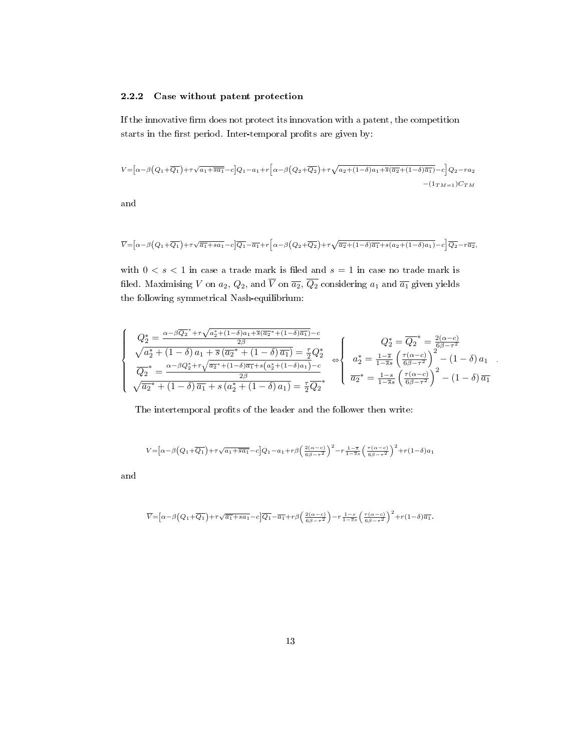#### 2.2.2 Case without patent protection

If the innovative firm does not protect its innovation with a patent, the competition starts in the first period. Inter-temporal profits are given by:

$$
V = \left[\alpha - \beta \left(Q_1 + \overline{Q_1}\right) + \tau \sqrt{a_1 + \overline{sa_1}} - c\right]Q_1 - a_1 + r\left[\alpha - \beta \left(Q_2 + \overline{Q_2}\right) + \tau \sqrt{a_2 + (1 - \delta)a_1 + \overline{s}(\overline{a_2} + (1 - \delta)\overline{a_1})} - c\right]Q_2 - ra_2
$$

$$
-(1_{TM=1})C_{TM}
$$

and

$$
\overline{V} = \left[\alpha - \beta \left(Q_1 + \overline{Q_1}\right) + \tau \sqrt{\overline{a_1} + s a_1} - c\right] \overline{Q_1} - \overline{a_1} + r \left[\alpha - \beta \left(Q_2 + \overline{Q_2}\right) + \tau \sqrt{\overline{a_2} + (1 - \delta)\overline{a_1} + s(a_2 + (1 - \delta)a_1)} - c\right] \overline{Q_2} - r \overline{a_2},
$$

with  $0 < s < 1$  in case a trade mark is filed and  $s = 1$  in case no trade mark is filed. Maximising *V* on  $a_2$ ,  $Q_2$ , and  $\overline{V}$  on  $\overline{a_2}$ ,  $\overline{Q_2}$  considering  $a_1$  and  $\overline{a_1}$  given yields the following symmetrical Nash-equilibrium:

$$
\begin{cases}\nQ_{2}^{*} = \frac{\alpha - \beta \overline{Q_{2}}^{*} + \tau \sqrt{a_{2}^{*} + (1 - \delta) a_{1} + \overline{s} (\overline{a_{2}}^{*} + (1 - \delta) \overline{a_{1}})} - c}{2\beta} \\
\sqrt{a_{2}^{*} + (1 - \delta) a_{1} + \overline{s} (\overline{a_{2}}^{*} + (1 - \delta) \overline{a_{1}})} = \frac{\tau}{2} Q_{2}^{*} \\
\overline{Q_{2}}^{*} = \frac{\alpha - \beta Q_{2}^{*} + \tau \sqrt{\overline{a_{2}}^{*} + (1 - \delta) \overline{a_{1}} + s(a_{2}^{*} + (1 - \delta) a_{1})}}{2\beta} - c \\
\sqrt{\overline{a_{2}}^{*} + (1 - \delta) \overline{a_{1}} + s(a_{2}^{*} + (1 - \delta) a_{1})} = \frac{\tau}{2} \overline{Q_{2}}^{*} \\
\overline{a_{2}}^{*} = \frac{1 - s}{1 - \overline{s}} \left(\frac{\tau(\alpha - c)}{6\beta - \tau^{2}}\right)^{2} - (1 - \delta) a_{1} \\
\overline{a_{2}}^{*} = \frac{1 - s}{1 - \overline{s}} \left(\frac{\tau(\alpha - c)}{6\beta - \tau^{2}}\right)^{2} - (1 - \delta) \overline{a_{1}}\n\end{cases}
$$

*.*

The intertemporal profits of the leader and the follower then write:

$$
V\hspace{-.1cm}=\hspace{-.1cm}\left[\alpha\hspace{-.1cm}-\hspace{-.1cm}\beta\hspace{-.1cm}\left(Q_1\hspace{-.1cm}+\hspace{-.1cm}\overline{Q_1}\hspace{-.1cm}\right)\hspace{-.1cm}+\hspace{-.1cm}\tau\hspace{-.1cm}\sqrt{a_1\hspace{-.1cm}+\hspace{-.1cm}\overline{sa_1}}\hspace{-.1cm}-\hspace{-.1cm}c\right]\hspace{-.1cm}\left(Q_1\hspace{-.1cm}-\hspace{-.1cm}a_1\hspace{-.1cm}+\hspace{-.1cm}r\beta\hspace{-.1cm}\left(\hspace{-.1cm}\tfrac{2\hspace{-.1cm}\left(\alpha\hspace{-.1cm}-\hspace{-.1cm}c\right)}{\hspace{-.1cm}6\hspace{-.1cm}\beta\hspace{-.1cm}-\hspace{-.1cm}r^2}\hspace{-.1cm}\right)^2\hspace{-.1cm}-\hspace{-.1cm}r\frac{1-\overline{s}}{1-\overline{s}}\hspace{-.1cm} \left(\hspace{-.1cm}\tfrac{\tau\left(\alpha\hspace{-.1cm}-\hspace{-.1cm}c\right)}{\hspace{-.1cm}6\hspace{-.1cm}\beta\hspace{-.1cm}-\hspace{-.1cm}r^2}\hspace{-.1cm}\right)^2\hspace{-.1cm}+\hspace{-.1cm}r\left(1\hspace{-.1cm}-\hspace{-.1cm}\delta\right)\hspace{-.1cm}a_1
$$

and

$$
\overline{V} = \left[\alpha - \beta \left(Q_1 + \overline{Q_1}\right) + \tau \sqrt{\overline{a_1} + s a_1} - c\right] \overline{Q_1} - \overline{a_1} + r \beta \left(\frac{2(\alpha - c)}{6\beta - \tau^2}\right) - r \frac{1 - s}{1 - \overline{s} s} \left(\frac{\tau(\alpha - c)}{6\beta - \tau^2}\right)^2 + r(1 - \delta) \overline{a_1}.
$$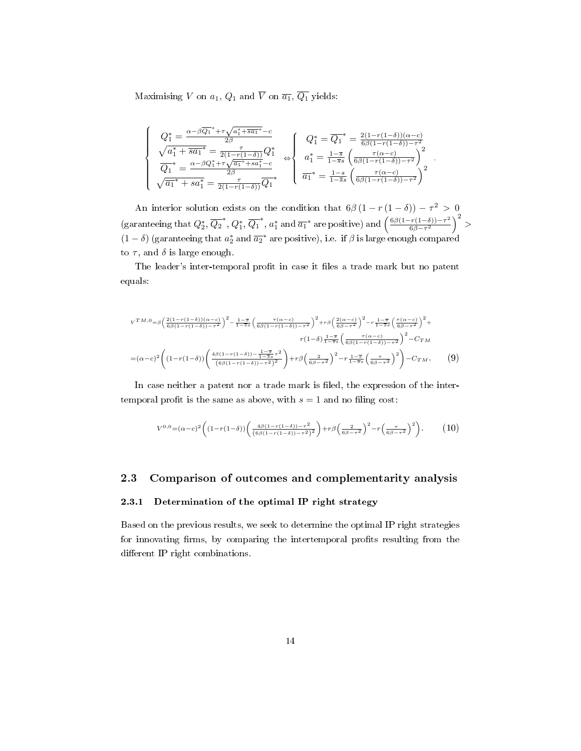Maximising *V* on  $a_1$ ,  $Q_1$  and  $\overline{V}$  on  $\overline{a_1}$ ,  $\overline{Q_1}$  yields:

$$
\left\{\begin{array}{c}Q_{1}^{*}=\frac{\alpha-\beta\overline{Q_{1}}^{*}+\tau\sqrt{a_{1}^{*}+\overline{s a_{1}}^{*}}-c}{2\beta}\\ \sqrt{a_{1}^{*}+\overline{s a_{1}}^{*}}=\frac{\tau}{2(1-r(1-\delta))}Q_{1}^{*}\\ \overline{Q_{1}}^{*}=\frac{\alpha-\beta Q_{1}^{*}+\tau\sqrt{a_{1}^{*}+s a_{1}^{*}}-c}{2\beta}\\ \sqrt{\overline{a_{1}}^{*}+s a_{1}^{*}}=\frac{\tau}{2(1-r(1-\delta))}\overline{Q_{1}}^{*}\\ \end{array}\right.\Leftrightarrow\left\{\begin{array}{c}Q_{1}^{*}=\overline{Q_{1}}^{*}=\frac{2(1-r(1-\delta))(\alpha-c)}{6\beta(1-r(1-\delta))- \tau^{2}}\\ a_{1}^{*}=\frac{1-\overline{s}}{1-\overline{s}s}\left(\frac{\tau(\alpha-c)}{6\beta(1-r(1-\delta))- \tau^{2}}\right)^{2}\\ \overline{a_{1}}^{*}=\frac{1-s}{1-\overline{s}s}\left(\frac{\tau(\alpha-c)}{6\beta(1-r(1-\delta))- \tau^{2}}\right)^{2}\end{array}\right.
$$

*.*

An interior solution exists on the condition that  $6\beta(1 - r(1 - \delta)) - \tau^2 > 0$ (garanteeing that  $Q_2^*, \overline{Q_2}^*, Q_1^*, \overline{Q_1}^*, a_1^*$  and  $\overline{a_1}^*$  are positive) and  $\left(\frac{6\beta(1-r(1-\delta))-\tau^2}{6\beta-\tau^2}\right)$  $\frac{(r(1-\delta)) - \tau^2}{6\beta - \tau^2}$   $\Big)^2$  $(1 - \delta)$  (garanteeing that  $a_2^*$  and  $\overline{a_2}^*$  are positive), i.e. if  $\beta$  is large enough compared to  $\tau$ , and  $\delta$  is large enough.

The leader's inter-temporal profit in case it files a trade mark but no patent equals:

$$
v^{TM,0} = \beta \left(\frac{2(1-r(1-\delta))(\alpha-c)}{6\beta(1-r(1-\delta))-r^2}\right)^2 - \frac{1-\overline{s}}{1-\overline{s}s} \left(\frac{\tau(\alpha-c)}{6\beta(1-r(1-\delta))-r^2}\right)^2 + r\beta \left(\frac{2(\alpha-c)}{6\beta-r^2}\right)^2 - r\frac{1-\overline{s}}{1-\overline{s}s} \left(\frac{\tau(\alpha-c)}{6\beta-r^2}\right)^2 +
$$
  

$$
r(1-\delta)\frac{1-\overline{s}}{1-\overline{s}s} \left(\frac{\tau(\alpha-c)}{6\beta(1-r(1-\delta))-r^2}\right)^2 - C_{TM}
$$
  

$$
= (\alpha-c)^2 \left((1-r(1-\delta))\left(\frac{4\beta(1-r(1-\delta))-\frac{1-\overline{s}}{1-\overline{s}s}r^2}{(6\beta(1-r(1-\delta))-r^2)^2}\right)+r\beta\left(\frac{2}{6\beta-r^2}\right)^2 - r\frac{1-\overline{s}}{1-\overline{s}s} \left(\frac{\tau}{6\beta-r^2}\right)^2\right) - C_{TM}.
$$
 (9)

In case neither a patent nor a trade mark is filed, the expression of the intertemporal profit is the same as above, with  $s = 1$  and no filing cost:

$$
V^{0,0} = (\alpha - c)^2 \left( (1 - r(1 - \delta)) \left( \frac{4\beta(1 - r(1 - \delta)) - \tau^2}{(\beta\beta(1 - r(1 - \delta)) - \tau^2)^2} \right) + r\beta \left( \frac{2}{\beta\beta - \tau^2} \right)^2 - r \left( \frac{\tau}{\beta\beta - \tau^2} \right)^2 \right). \tag{10}
$$

#### 2.3 Comparison of outcomes and complementarity analysis

#### 2.3.1 Determination of the optimal IP right strategy

Based on the previous results, we seek to determine the optimal IP right strategies for innovating firms, by comparing the intertemporal profits resulting from the different IP right combinations.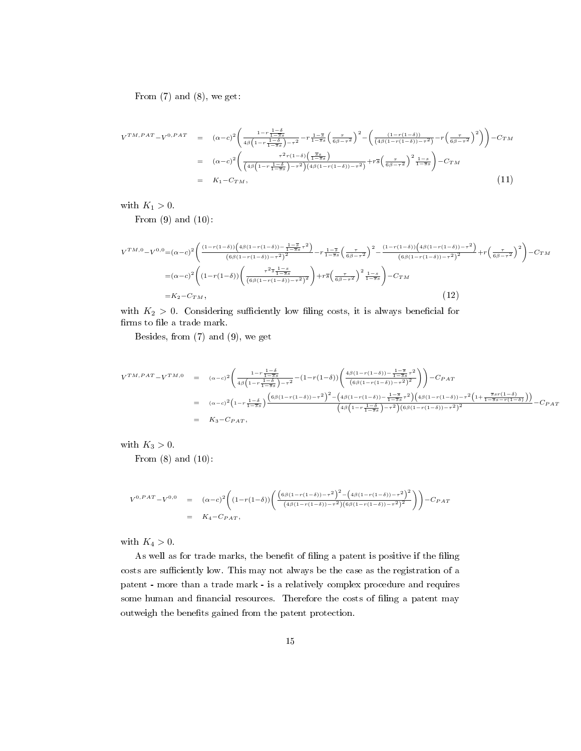From  $(7)$  and  $(8)$ , we get:

$$
V^{TM,PAT} - V^{0,PAT} = (\alpha - c)^2 \left( \frac{1 - r\frac{1 - \delta}{1 - \delta s}}{4\beta \left(1 - r\frac{1 - \delta}{1 - \delta s}\right) - \tau^2} - r\frac{1 - \delta}{1 - \delta s} \left(\frac{\tau}{6\beta - \tau^2}\right)^2 - \left(\frac{(1 - r(1 - \delta))}{(4\beta(1 - r(1 - \delta)) - \tau^2)} - r\left(\frac{\tau}{6\beta - \tau^2}\right)^2\right)\right) - C_{TM}
$$
  
\n
$$
= (\alpha - c)^2 \left( \frac{\tau^2 r(1 - \delta) \left(\frac{\pi s}{1 - \delta s}\right)}{\left(4\beta \left(1 - r\frac{1 - \delta}{1 - \delta s}\right) - \tau^2\right) \left(4\beta (1 - r(1 - \delta)) - \tau^2\right)} + r\overline{s} \left(\frac{\tau}{6\beta - \tau^2}\right)^2 \frac{1 - s}{1 - \overline{s}s}}\right) - C_{TM}
$$
  
\n
$$
= K_1 - C_{TM},
$$
\n(11)

with  $K_1 > 0$ .

From  $(9)$  and  $(10)$ :

$$
V^{TM,0} - V^{0,0} = (\alpha - c)^2 \left( \frac{(1 - r(1 - \delta)) \left( 4\beta (1 - r(1 - \delta)) - \frac{1 - \overline{s}}{1 - \overline{s}} \sigma^2 \right)}{(\beta \beta (1 - r(1 - \delta)) - \tau^2)^2} - r \frac{1 - \overline{s}}{1 - \overline{s}} \left( \frac{\tau}{\beta \beta - \tau^2} \right)^2 - \frac{(1 - r(1 - \delta)) \left( 4\beta (1 - r(1 - \delta)) - \tau^2 \right)}{(\beta \beta (1 - r(1 - \delta)) - \tau^2)^2} + r \left( \frac{\tau}{\beta \beta - \tau^2} \right)^2 \right) - C_{TM}
$$
  
=  $(\alpha - c)^2 \left( (1 - r(1 - \delta)) \left( \frac{\tau^2 \overline{s} \frac{1 - \overline{s}}{1 - \overline{s}}}{(\beta \beta (1 - r(1 - \delta)) - \tau^2)^2} \right) + r \overline{s} \left( \frac{\tau}{\beta \beta - \tau^2} \right)^2 \frac{1 - s}{1 - \overline{s}} \right) - C_{TM}$   
=  $K_2 - C_{TM}$ , (12)

with  $K_2 > 0$ . Considering sufficiently low filing costs, it is always beneficial for  $\operatorname{firms}$  to file a trade mark.

Besides, from (7) and (9), we get

$$
V^{TM, PAT} - V^{TM,0} = (\alpha - c)^2 \left( \frac{1 - r\frac{1 - \delta}{1 - \delta s}}{4\beta \left(1 - r\frac{1 - \delta}{1 - \delta s}\right) - \tau^2} - (1 - r(1 - \delta)) \left( \frac{4\beta (1 - r(1 - \delta)) - \frac{1 - \delta}{1 - \delta s} \tau^2}{(\beta \beta (1 - r(1 - \delta)) - \tau^2)^2} \right) \right) - C_{PAT}
$$
  
\n
$$
= (\alpha - c)^2 \left(1 - r\frac{1 - \delta}{1 - \delta s}\right) \frac{\left(6\beta (1 - r(1 - \delta)) - \tau^2\right)^2 - \left(4\beta (1 - r(1 - \delta)) - \frac{1 - \delta}{1 - \delta s} \tau^2\right) \left(4\beta (1 - r(1 - \delta)) - \tau^2 \left(1 + \frac{\delta s r(1 - \delta)}{1 - \delta s} - r(1 - \delta)\right)\right)}{\left(4\beta \left(1 - r\frac{1 - \delta}{1 - \delta s}\right) - \tau^2\right) \left(6\beta (1 - r(1 - \delta)) - \tau^2\right)^2}
$$
  
\n
$$
= K_3 - C_{PAT},
$$

with  $K_3 > 0$ .

From  $(8)$  and  $(10)$ :

$$
V^{0,PAT} - V^{0,0} = (\alpha - c)^2 \left( (1 - r(1 - \delta)) \left( \frac{(\theta \beta (1 - r(1 - \delta)) - \tau^2)^2 - (4\beta (1 - r(1 - \delta)) - \tau^2)^2}{(4\beta (1 - r(1 - \delta)) - \tau^2)(6\beta (1 - r(1 - \delta)) - \tau^2)^2} \right) \right) - C_{PAT}
$$
  
=  $K_4 - C_{PAT}$ ,

with  $K_4 > 0$ .

As well as for trade marks, the benefit of filing a patent is positive if the filing costs are sufficiently low. This may not always be the case as the registration of a patent - more than a trade mark - is a relatively complex procedure and requires some human and financial resources. Therefore the costs of filing a patent may outweigh the benefits gained from the patent protection.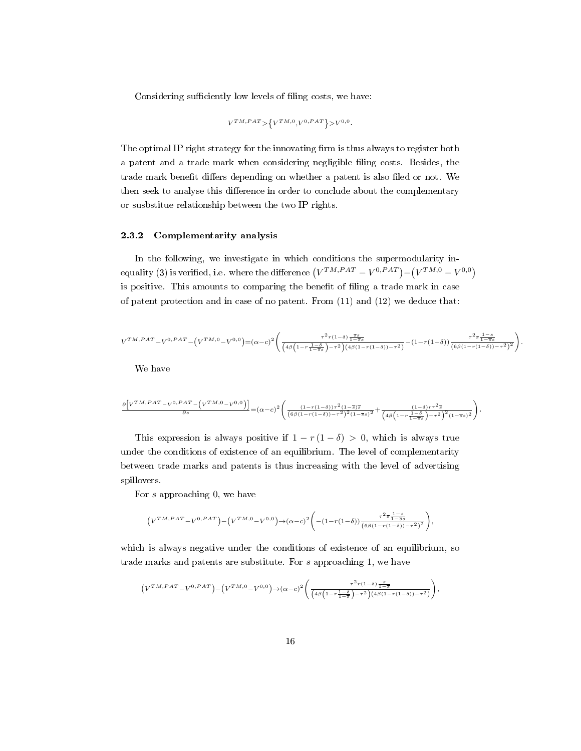Considering sufficiently low levels of filing costs, we have:

$$
V^{TM,PAT}{\rm >}\left\{ V^{TM,0},V^{0,PAT}\right\}{\rm >}V^{0,0}.
$$

The optimal IP right strategy for the innovating firm is thus always to register both a patent and a trade mark when considering negligible ling costs. Besides, the trade mark benefit differs depending on whether a patent is also filed or not. We then seek to analyse this difference in order to conclude about the complementary or susbstitue relationship between the two IP rights.

#### 2.3.2 Complementarity analysis

In the following, we investigate in which conditions the supermodularity inequality (3) is verified, i.e. where the difference  $(V^{TM,PAT} - V^{0,PAT}) - (V^{TM,0} - V^{0,0})$ is positive. This amounts to comparing the benefit of filing a trade mark in case of patent protection and in case of no patent. From  $(11)$  and  $(12)$  we deduce that:

$$
V^{TM,PAT} - V^{0,PAT} - (V^{TM,0} - V^{0,0}) = (\alpha - c)^2 \left( \frac{\tau^2 r (1-\delta) \frac{\overline{s} s}{1-\overline{s} s}}{\left( 4\beta \left( 1 - r \frac{1-\delta}{1-\overline{s} s} \right) - \tau^2 \right) \left( 4\beta (1-r(1-\delta)) - \tau^2 \right)} - (1-r(1-\delta)) \frac{\tau^2 \overline{s} \frac{1-s}{1-\overline{s} s}}{\left( 6\beta (1-r(1-\delta)) - \tau^2 \right)^2} \right).
$$

We have

$$
\frac{\partial \left[V^{TM,PAT} - V^{0,PAT} - \left(V^{TM,0} - V^{0,0}\right)\right]}{\partial s} = (\alpha - c)^2 \left( \frac{(1 - r(1 - \delta))\tau^2 (1 - \overline{s}) \overline{s}}{(6\beta(1 - r(1 - \delta)) - \tau^2)^2 (1 - \overline{s} s)^2} + \frac{(1 - \delta)r\tau^2 \overline{s}}{\left(4\beta\left(1 - r\frac{1 - \delta}{1 - \overline{s} s}\right) - \tau^2\right)^2 (1 - \overline{s} s)^2}\right).
$$

This expression is always positive if  $1 - r(1 - \delta) > 0$ , which is always true under the conditions of existence of an equilibrium. The level of complementarity between trade marks and patents is thus increasing with the level of advertising spillovers.

For *s* approaching 0, we have

$$
\Big(V^{TM,PAT}-V^{0,PAT}\Big)-\Big(V^{TM,0}-V^{0,0}\Big) \to (\alpha-c)^2 \Bigg(-\big(1-r\big(1-\delta\big)\big)\frac{\tau^2\overline{s}\frac{1-s}{1-\overline{s}s}}{\big(6\beta(1-r\big(1-\delta\big))-\tau^2\big)^2}\Bigg),
$$

which is always negative under the conditions of existence of an equilibrium, so trade marks and patents are substitute. For *s* approaching 1, we have

$$
\Big(V^{TM,PAT}-V^{0,PAT}\Big)-\Big(V^{TM,0}-V^{0,0}\Big) \rightarrow (\alpha-c)^2 \Bigg(\frac{\tau^2 r(1-\delta) \frac{\overline{s}}{1-\overline{s}}}{\Big(4 \beta \Big(1-r \frac{1-\delta}{1-\overline{s}}\Big)-\tau^2\Big)\Big(4 \beta \big(1-r(1-\delta))- \tau^2\Big)}\Bigg),
$$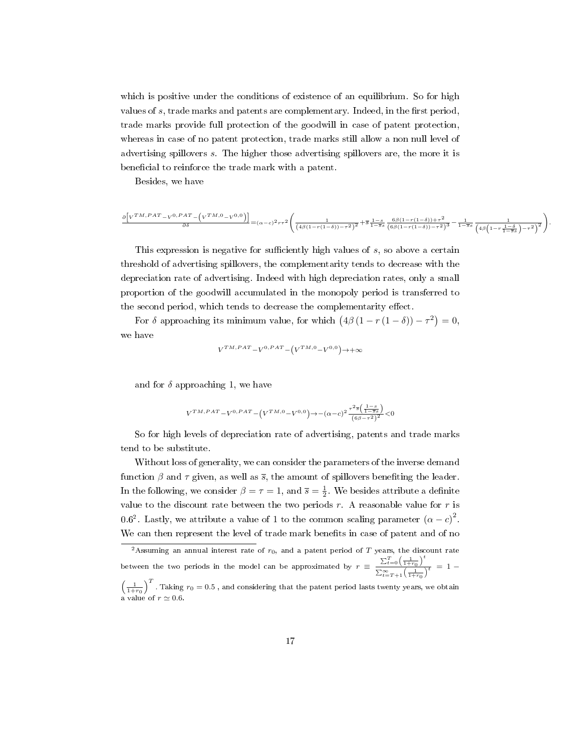which is positive under the conditions of existence of an equilibrium. So for high values of *s*, trade marks and patents are complementary. Indeed, in the first period, trade marks provide full protection of the goodwill in case of patent protection, whereas in case of no patent protection, trade marks still allow a non null level of advertising spillovers *s*. The higher those advertising spillovers are, the more it is beneficial to reinforce the trade mark with a patent.

Besides, we have

$$
\frac{\partial \left[V^{TM,PAT}-V^{0,PAT}-\left(V^{TM,0}-V^{0,0}\right)\right]}{\partial \delta}=(\alpha-c)^2\tau\tau^2\Bigg(\frac{1}{\left(4\beta(1-r(1-\delta))-\tau^2\right)^2}+\overline{s}\,\frac{1-s}{1-\overline{s}s}\,\frac{6\beta(1-r(1-\delta))+\tau^2}{\left(6\beta(1-r(1-\delta))- \tau^2\right)^3}-\frac{1}{1-\overline{s}s}\,\frac{1}{\left(4\beta\left(1-r\,\frac{1-\delta}{1-\overline{s}s}\right)-\tau^2\right)^2}\Bigg).
$$

This expression is negative for sufficiently high values of *s*, so above a certain threshold of advertising spillovers, the complementarity tends to decrease with the depreciation rate of advertising. Indeed with high depreciation rates, only a small proportion of the goodwill accumulated in the monopoly period is transferred to the second period, which tends to decrease the complementarity effect.

For  $\delta$  approaching its minimum value, for which  $(4\beta(1 - r(1 - \delta)) - \tau^2) = 0$ , we have

$$
V^{TM,PAT}-V^{0,PAT}-\left( V^{TM,0}-V^{0,0}\right) \rightarrow+\infty
$$

and for  $\delta$  approaching 1, we have

$$
V^{TM,PATH} - V^{0,PATH} - (V^{TM,0} - V^{0,0}) \rightarrow -(\alpha - c)^2 \frac{\tau^2 \overline{s} \left( \frac{1 - \overline{s}}{1 - \overline{s}} \right)}{(\beta \beta - \tau^2)^2} < 0
$$

So for high levels of depreciation rate of advertising, patents and trade marks tend to be substitute.

Without loss of generality, we can consider the parameters of the inverse demand function  $\beta$  and  $\tau$  given, as well as  $\bar{s}$ , the amount of spillovers benefiting the leader. In the following, we consider  $\beta = \tau = 1$ , and  $\bar{s} = \frac{1}{2}$ . We besides attribute a definite value to the discount rate between the two periods *r*. A reasonable value for *r* is 0.6<sup>2</sup>. Lastly, we attribute a value of 1 to the common scaling parameter  $(\alpha - c)^2$ . We can then represent the level of trade mark benefits in case of patent and of no

<sup>2</sup>Assuming an annual interest rate of *r*0, and a patent period of *T* years, the discount rate between the two periods in the model can be approximated by  $r = \frac{\sum_{t=0}^{T} \left(\frac{1}{1+r_0}\right)^t}{\sum_{t=0}^{T} \left(\frac{1}{1+r_0}\right)^t}$  $\frac{2t}{\sum_{t=T+1}^{\infty} \left(\frac{1}{1+r_0}\right)^t} = 1 \left(\frac{1}{1+r_0}\right)^T$ . Taking  $r_0 = 0.5$  , and considering that the patent period lasts twenty years, we obtain a value of  $r \simeq 0.6$ .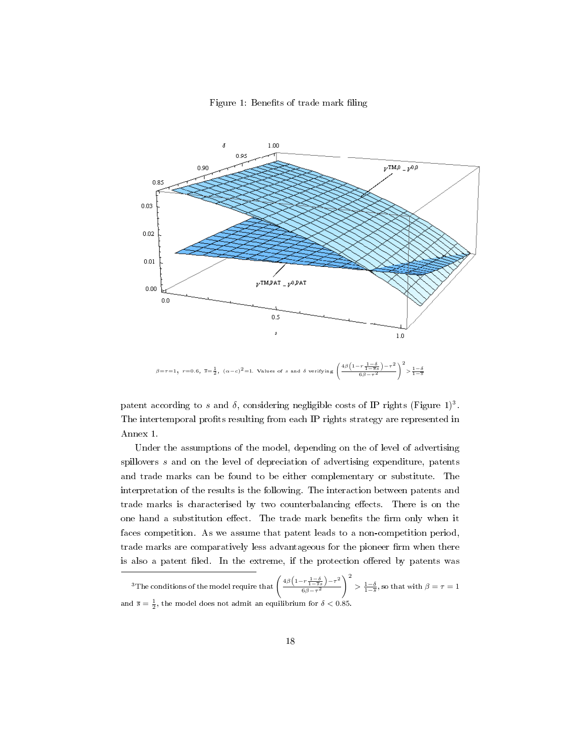Figure 1: Benefits of trade mark filing



patent according to *s* and  $\delta$ , considering negligible costs of IP rights (Figure 1)<sup>3</sup>. The intertemporal profits resulting from each IP rights strategy are represented in Annex 1.

Under the assumptions of the model, depending on the of level of advertising spillovers *s* and on the level of depreciation of advertising expenditure, patents and trade marks can be found to be either complementary or substitute. The interpretation of the results is the following. The interaction between patents and trade marks is characterised by two counterbalancing effects. There is on the one hand a substitution effect. The trade mark benefits the firm only when it faces competition. As we assume that patent leads to a non-competition period, trade marks are comparatively less advantageous for the pioneer firm when there is also a patent filed. In the extreme, if the protection offered by patents was

<sup>&</sup>lt;sup>3</sup>The conditions of the model require that  $\left(\frac{4\beta\left(1-r\frac{1-\delta}{1-s}\right)-\tau^2}{\beta^2-r^2}\right)$ <sup>6</sup>*β−τ*<sup>2</sup>  $\setminus^2$  $>$   $\frac{1-\delta}{1-\overline{s}}$ , so that with *β* = *τ* = 1 and  $\bar{s} = \frac{1}{2}$ , the model does not admit an equilibrium for  $\delta < 0.85$ .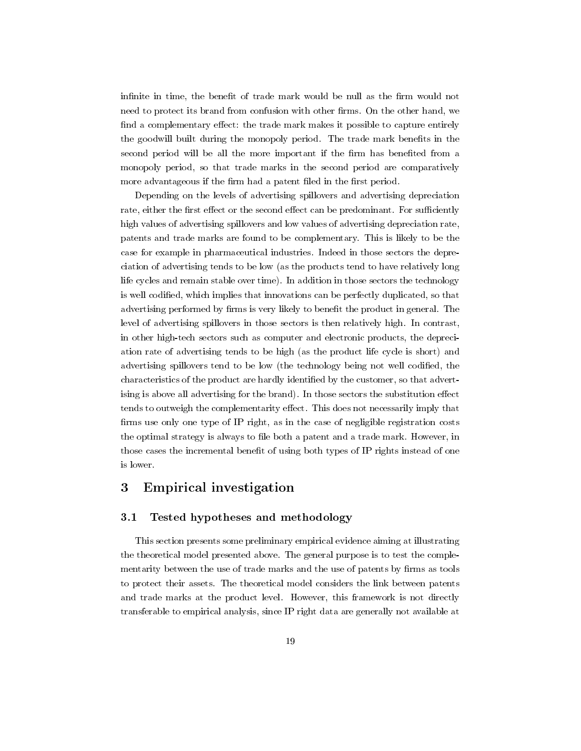infinite in time, the benefit of trade mark would be null as the firm would not need to protect its brand from confusion with other firms. On the other hand, we find a complementary effect: the trade mark makes it possible to capture entirely the goodwill built during the monopoly period. The trade mark benefits in the second period will be all the more important if the firm has benefited from a monopoly period, so that trade marks in the second period are comparatively more advantageous if the firm had a patent filed in the first period.

Depending on the levels of advertising spillovers and advertising depreciation rate, either the first effect or the second effect can be predominant. For sufficiently high values of advertising spillovers and low values of advertising depreciation rate, patents and trade marks are found to be complementary. This is likely to be the case for example in pharmaceutical industries. Indeed in those sectors the depreciation of advertising tends to be low (as the products tend to have relatively long life cycles and remain stable over time). In addition in those sectors the technology is well codified, which implies that innovations can be perfectly duplicated, so that advertising performed by firms is very likely to benefit the product in general. The level of advertising spillovers in those sectors is then relatively high. In contrast, in other high-tech sectors such as computer and electronic products, the depreciation rate of advertising tends to be high (as the product life cycle is short) and advertising spillovers tend to be low (the technology being not well codified, the characteristics of the product are hardly identified by the customer, so that advertising is above all advertising for the brand). In those sectors the substitution effect tends to outweigh the complementarity effect. This does not necessarily imply that firms use only one type of IP right, as in the case of negligible registration costs the optimal strategy is always to file both a patent and a trade mark. However, in those cases the incremental benefit of using both types of IP rights instead of one is lower.

## 3 Empirical investigation

#### 3.1 Tested hypotheses and methodology

This section presents some preliminary empirical evidence aiming at illustrating the theoretical model presented above. The general purpose is to test the complementarity between the use of trade marks and the use of patents by firms as tools to protect their assets. The theoretical model considers the link between patents and trade marks at the product level. However, this framework is not directly transferable to empirical analysis, since IP right data are generally not available at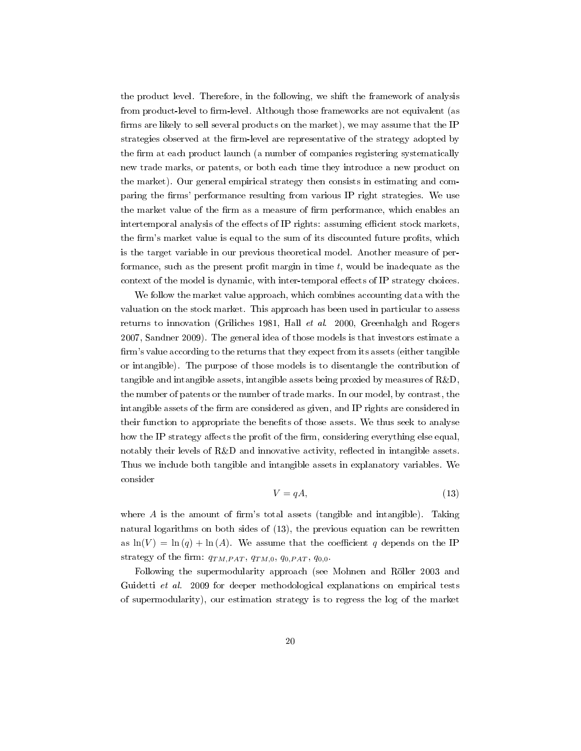the product level. Therefore, in the following, we shift the framework of analysis from product-level to firm-level. Although those frameworks are not equivalent (as firms are likely to sell several products on the market), we may assume that the IP strategies observed at the firm-level are representative of the strategy adopted by the firm at each product launch (a number of companies registering systematically new trade marks, or patents, or both each time they introduce a new product on the market). Our general empirical strategy then consists in estimating and comparing the firms' performance resulting from various IP right strategies. We use the market value of the firm as a measure of firm performance, which enables an intertemporal analysis of the effects of IP rights: assuming efficient stock markets, the firm's market value is equal to the sum of its discounted future profits, which is the target variable in our previous theoretical model. Another measure of performance, such as the present profit margin in time  $t$ , would be inadequate as the context of the model is dynamic, with inter-temporal effects of IP strategy choices.

We follow the market value approach, which combines accounting data with the valuation on the stock market. This approach has been used in particular to assess returns to innovation (Griliches 1981, Hall et al. 2000, Greenhalgh and Rogers 2007, Sandner 2009). The general idea of those models is that investors estimate a firm's value according to the returns that they expect from its assets (either tangible or intangible). The purpose of those models is to disentangle the contribution of tangible and intangible assets, intangible assets being proxied by measures of R&D, the number of patents or the number of trade marks. In our model, by contrast, the intangible assets of the firm are considered as given, and IP rights are considered in their function to appropriate the benefits of those assets. We thus seek to analyse how the IP strategy affects the profit of the firm, considering everything else equal, notably their levels of  $R\&D$  and innovative activity, reflected in intangible assets. Thus we include both tangible and intangible assets in explanatory variables. We consider

$$
V = qA,\tag{13}
$$

where  $A$  is the amount of firm's total assets (tangible and intangible). Taking natural logarithms on both sides of (13), the previous equation can be rewritten as  $\ln(V) = \ln(q) + \ln(A)$ . We assume that the coefficient q depends on the IP strategy of the firm:  $q_{TM, PAT}$ ,  $q_{TM,0}$ ,  $q_{0,PAT}$ ,  $q_{0,0}$ .

Following the supermodularity approach (see Mohnen and Röller 2003 and Guidetti et al. 2009 for deeper methodological explanations on empirical tests of supermodularity), our estimation strategy is to regress the log of the market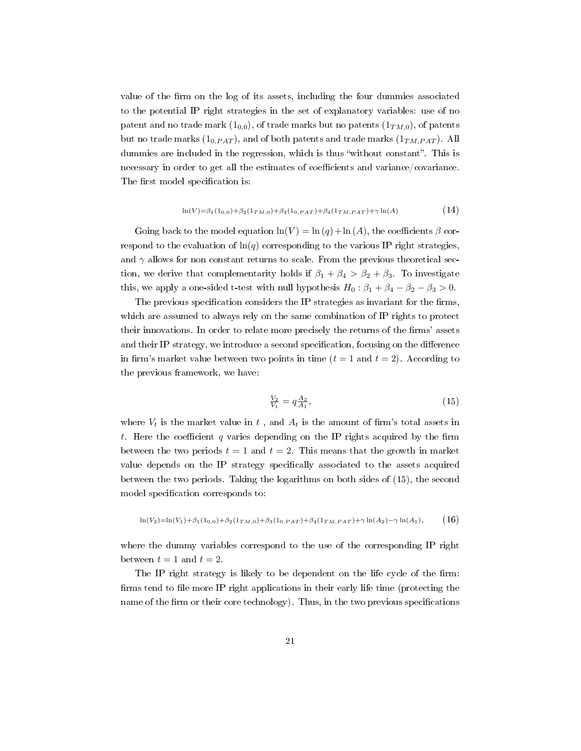value of the firm on the log of its assets, including the four dummies associated to the potential IP right strategies in the set of explanatory variables: use of no patent and no trade mark  $(1_{0,0})$ , of trade marks but no patents  $(1_{TM,0})$ , of patents but no trade marks  $(1_{0,PAT})$ , and of both patents and trade marks  $(1_{TM,PAT})$ . All dummies are included in the regression, which is thus "without constant". This is necessary in order to get all the estimates of coefficients and variance/covariance. The first model specification is:

$$
\ln(V) = \beta_1(1_{0,0}) + \beta_2(1_{TM,0}) + \beta_3(1_{0,PAT}) + \beta_4(1_{TM,PAT}) + \gamma \ln(A) \tag{14}
$$

Going back to the model equation  $ln(V) = ln(q) + ln(A)$ , the coefficients  $\beta$  correspond to the evaluation of  $\ln(q)$  corresponding to the various IP right strategies, and  $\gamma$  allows for non constant returns to scale. From the previous theoretical section, we derive that complementarity holds if  $\beta_1 + \beta_4 > \beta_2 + \beta_3$ . To investigate this, we apply a one-sided t-test with null hypothesis  $H_0: \beta_1 + \beta_4 - \beta_2 - \beta_3 > 0$ .

The previous specification considers the IP strategies as invariant for the firms, which are assumed to always rely on the same combination of IP rights to protect their innovations. In order to relate more precisely the returns of the firms' assets and their IP strategy, we introduce a second specification, focusing on the difference in firm's market value between two points in time  $(t = 1$  and  $t = 2)$ . According to the previous framework, we have:

$$
\frac{V_2}{V_1} = q \frac{A_2}{A_1},\tag{15}
$$

where  $V_t$  is the market value in  $t$ , and  $A_t$  is the amount of firm's total assets in *t*. Here the coefficient *q* varies depending on the IP rights acquired by the firm between the two periods  $t = 1$  and  $t = 2$ . This means that the growth in market value depends on the IP strategy specifically associated to the assets acquired between the two periods. Taking the logarithms on both sides of (15), the second model specification corresponds to:

$$
\ln(V_2) = \ln(V_1) + \beta_1(1_{0,0}) + \beta_2(1_{TM,0}) + \beta_3(1_{0,PATH}) + \beta_4(1_{TM,PATH}) + \gamma \ln(A_2) - \gamma \ln(A_1),
$$
 (16)

where the dummy variables correspond to the use of the corresponding IP right between  $t = 1$  and  $t = 2$ .

The IP right strategy is likely to be dependent on the life cycle of the firm: firms tend to file more IP right applications in their early life time (protecting the name of the firm or their core technology). Thus, in the two previous specifications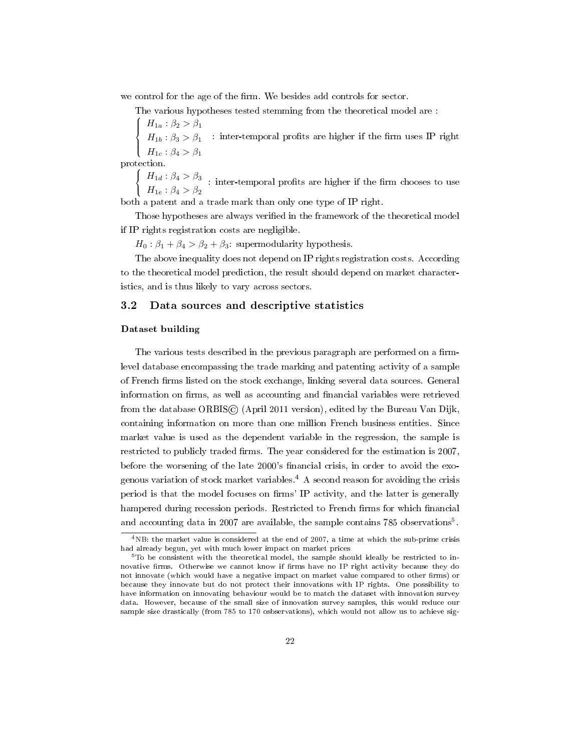we control for the age of the firm. We besides add controls for sector.

The various hypotheses tested stemming from the theoretical model are :

 $\sqrt{ }$  $\int$  $\overline{\mathcal{L}}$ *H*<sub>1*a*</sub> :  $\beta_2 > \beta_1$ *H*<sub>1</sub>*b* :  $\beta_3 > \beta_1$ *H*<sub>1*c*</sub> :  $\beta_4 > \beta_1$ : inter-temporal profits are higher if the firm uses IP right

protection.

 $\int$  $\mathfrak{r}$ *H*<sub>1*d*</sub> :  $\beta_4 > \beta_3$ *H*<sub>1*e*</sub> :  $\beta_4 > \beta_2$ : inter-temporal profits are higher if the firm chooses to use

both a patent and a trade mark than only one type of IP right.

Those hypotheses are always verified in the framework of the theoretical model if IP rights registration costs are negligible.

 $H_0$ :  $\beta_1 + \beta_4 > \beta_2 + \beta_3$ : supermodularity hypothesis.

The above inequality does not depend on IP rights registration costs. According to the theoretical model prediction, the result should depend on market characteristics, and is thus likely to vary across sectors.

#### 3.2 Data sources and descriptive statistics

#### Dataset building

The various tests described in the previous paragraph are performed on a firmlevel database encompassing the trade marking and patenting activity of a sample of French rms listed on the stock exchange, linking several data sources. General information on firms, as well as accounting and financial variables were retrieved from the database ORBIS© (April 2011 version), edited by the Bureau Van Dijk, containing information on more than one million French business entities. Since market value is used as the dependent variable in the regression, the sample is restricted to publicly traded firms. The year considered for the estimation is 2007, before the worsening of the late 2000's financial crisis, in order to avoid the exogenous variation of stock market variables.<sup>4</sup> A second reason for avoiding the crisis period is that the model focuses on firms' IP activity, and the latter is generally hampered during recession periods. Restricted to French firms for which financial and accounting data in 2007 are available, the sample contains 785 observations<sup>5</sup>.

<sup>4</sup>NB: the market value is considered at the end of 2007, a time at which the sub-prime crisis had already begun, yet with much lower impact on market prices

 $5T_0$  be consistent with the theoretical model, the sample should ideally be restricted to innovative firms. Otherwise we cannot know if firms have no IP right activity because they do not innovate (which would have a negative impact on market value compared to other firms) or because they innovate but do not protect their innovations with IP rights. One possibility to have information on innovating behaviour would be to match the dataset with innovation survey data. However, because of the small size of innovation survey samples, this would reduce our sample size drastically (from 785 to 170 osbservations), which would not allow us to achieve sig-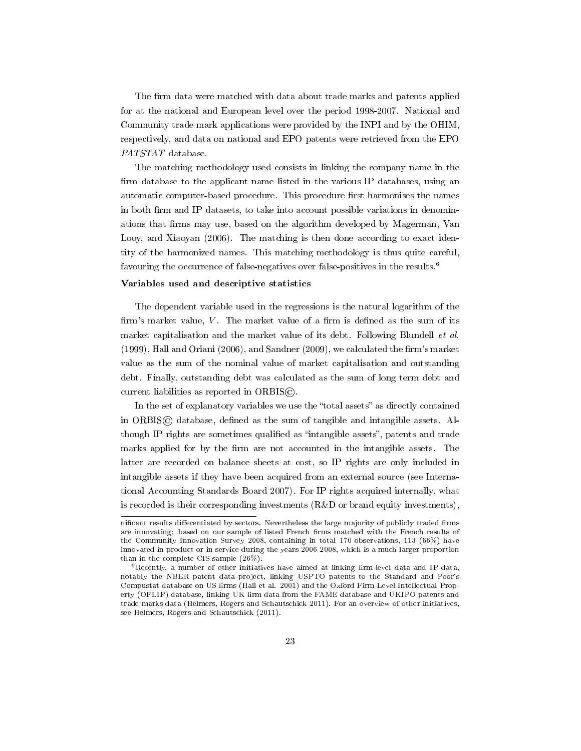The firm data were matched with data about trade marks and patents applied for at the national and European level over the period 1998-2007. National and Community trade mark applications were provided by the INPI and by the OHIM, respectively, and data on national and EPO patents were retrieved from the EPO PATSTAT database.

The matching methodology used consists in linking the company name in the firm database to the applicant name listed in the various IP databases, using an automatic computer-based procedure. This procedure first harmonises the names in both firm and IP datasets, to take into account possible variations in denominations that firms may use, based on the algorithm developed by Magerman, Van Looy, and Xiaoyan (2006). The matching is then done according to exact identity of the harmonized names. This matching methodology is thus quite careful, favouring the occurrence of false-negatives over false-positives in the results.<sup>6</sup>

#### Variables used and descriptive statistics

The dependent variable used in the regressions is the natural logarithm of the firm's market value, *V*. The market value of a firm is defined as the sum of its market capitalisation and the market value of its debt. Following Blundell et al.  $(1999)$ , Hall and Oriani  $(2006)$ , and Sandner  $(2009)$ , we calculated the firm's market value as the sum of the nominal value of market capitalisation and outstanding debt. Finally, outstanding debt was calculated as the sum of long term debt and current liabilities as reported in ORBIS©.

In the set of explanatory variables we use the "total assets" as directly contained in ORBIS $\odot$  database, defined as the sum of tangible and intangible assets. Although IP rights are sometimes qualified as "intangible assets", patents and trade marks applied for by the firm are not accounted in the intangible assets. The latter are recorded on balance sheets at cost, so IP rights are only included in intangible assets if they have been acquired from an external source (see International Accounting Standards Board 2007). For IP rights acquired internally, what is recorded is their corresponding investments (R&D or brand equity investments),

nificant results differentiated by sectors. Nevertheless the large majority of publicly traded firms are innovating: based on our sample of listed French firms matched with the French results of the Community Innovation Survey 2008, containing in total 170 observations, 113 (66%) have innovated in product or in service during the years 2006-2008, which is a much larger proportion than in the complete CIS sample (26%).

 $6$ Recently, a number of other initiatives have aimed at linking firm-level data and IP data, notably the NBER patent data project, linking USPTO patents to the Standard and Poor's Compustat database on US firms (Hall et al. 2001) and the Oxford Firm-Level Intellectual Property (OFLIP) database, linking UK firm data from the FAME database and UKIPO patents and trade marks data (Helmers, Rogers and Schautschick 2011). For an overview of other initiatives, see Helmers, Rogers and Schautschick (2011).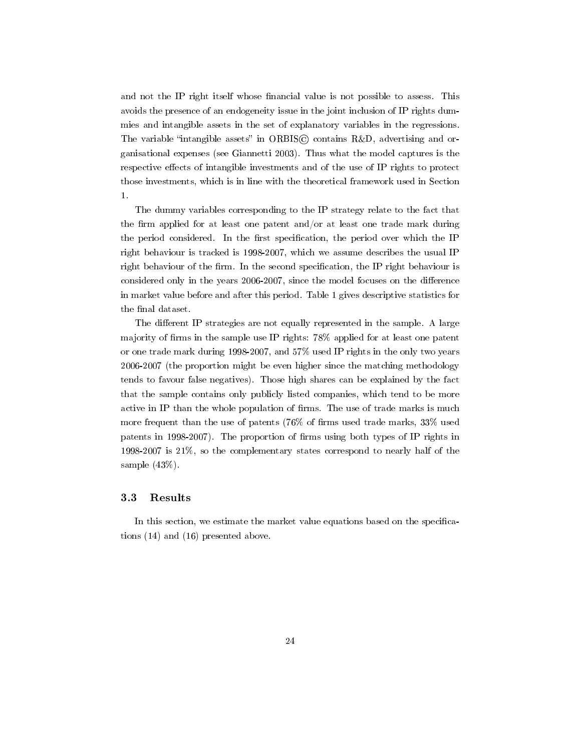and not the IP right itself whose financial value is not possible to assess. This avoids the presence of an endogeneity issue in the joint inclusion of IP rights dummies and intangible assets in the set of explanatory variables in the regressions. The variable "intangible assets" in ORBIS $\circled{c}$  contains R&D, advertising and organisational expenses (see Giannetti 2003). Thus what the model captures is the respective effects of intangible investments and of the use of IP rights to protect those investments, which is in line with the theoretical framework used in Section 1.

The dummy variables corresponding to the IP strategy relate to the fact that the firm applied for at least one patent and/or at least one trade mark during the period considered. In the first specification, the period over which the IP right behaviour is tracked is 1998-2007, which we assume describes the usual IP right behaviour of the firm. In the second specification, the IP right behaviour is considered only in the years 2006-2007, since the model focuses on the difference in market value before and after this period. Table 1 gives descriptive statistics for the final dataset.

The different IP strategies are not equally represented in the sample. A large majority of firms in the sample use IP rights:  $78\%$  applied for at least one patent or one trade mark during 1998-2007, and 57% used IP rights in the only two years 2006-2007 (the proportion might be even higher since the matching methodology tends to favour false negatives). Those high shares can be explained by the fact that the sample contains only publicly listed companies, which tend to be more active in IP than the whole population of firms. The use of trade marks is much more frequent than the use of patents  $(76\% \text{ of firms used trade marks}, 33\% \text{ used}$ patents in 1998-2007). The proportion of firms using both types of IP rights in 1998-2007 is 21%, so the complementary states correspond to nearly half of the sample (43%).

#### 3.3 Results

In this section, we estimate the market value equations based on the specifications (14) and (16) presented above.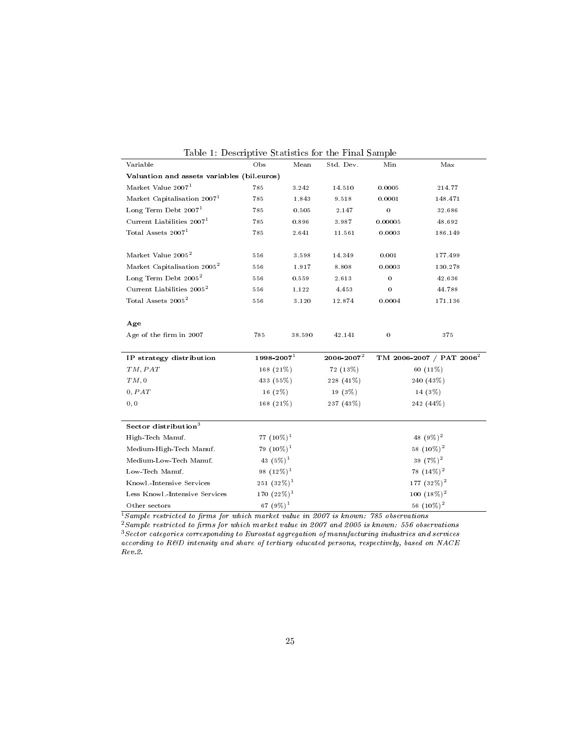| rapic r. Descriptive pradistics for the range painpre<br>Variable | Obs                            | Mean                         | Std. Dev.       | Min              | Max                                  |
|-------------------------------------------------------------------|--------------------------------|------------------------------|-----------------|------------------|--------------------------------------|
| Valuation and assets variables (bil.euros)                        |                                |                              |                 |                  |                                      |
| Market Value 2007 <sup>1</sup>                                    | 785                            | 3.242                        | 14.510          | 0.0005           | 214.77                               |
| Market Capitalisation 2007 <sup>1</sup>                           | 785                            | 1.843                        | 9.518           | 0.0001           | 148.471                              |
| Long Term Debt $20071$                                            | 785                            | 0.505                        | 2.147           | $\bf{0}$         | 32.686                               |
| Current Liabilities 2007 <sup>1</sup>                             | 785                            | 0.896                        | 3.987           | 0.00005          | 48.692                               |
| Total Assets $20071$                                              | 785                            | 2.641                        | 11.561          | 0.0003           | 186.149                              |
| Market Value 2005 <sup>2</sup>                                    | 556                            | 3.598                        | 14.349          | 0.001            | 177.499                              |
| Market Capitalisation 2005 <sup>2</sup>                           | 556                            | 1.917                        | 8.808           | 0.0003           | 130.278                              |
| $\rm Long$ Term Debt $2005^2$                                     | 556                            | 0.559                        | 2.613           | $\overline{0}$   | 42.636                               |
| Current Liabilities 2005 <sup>2</sup>                             | 556                            | 1.122                        | 4.453           | 0                | 44.788                               |
| Total Assets 2005 <sup>2</sup>                                    | 556                            | 3.120                        | 12.874          | 0.0004           | 171.136                              |
| Age                                                               |                                |                              |                 |                  |                                      |
| Age of the firm in 2007                                           | 785                            | 38.590                       | 42.141          | $\boldsymbol{0}$ | 375                                  |
| IP strategy distribution                                          | $1998 - 2007$ <sup>1</sup>     |                              | $2006 - 2007^2$ |                  | TM 2006-2007 / PAT 2006 <sup>2</sup> |
| TM, PAT                                                           | 168 (21%)                      |                              | 72 (13%)        |                  | 60 (11%)                             |
| TM,0                                                              | 433 (55%)                      |                              | 228 (41%)       | 240 (43%)        |                                      |
| 0, PAT                                                            | $16(2\%)$                      |                              | 19 (3%)         | 14 (3%)          |                                      |
| 0, 0                                                              | 168 (21%)                      |                              | 237 (43%)       | 242 (44%)        |                                      |
| Sector distribution <sup>3</sup>                                  |                                |                              |                 |                  |                                      |
| High-Tech Manuf.                                                  | 77 $(10\%)^1$                  |                              |                 |                  | 48 $(9\%)^2$                         |
| $79(10\%)^1$<br>Medium-High-Tech Manuf.                           |                                |                              | 58 $(10\%)^2$   |                  |                                      |
| Medium-Low-Tech Manuf.                                            |                                | 43 $(5\%)^1$<br>39 $(7\%)^2$ |                 |                  |                                      |
| Low-Tech Manuf.                                                   | 98 $(12\%)^1$<br>78 $(14\%)^2$ |                              |                 |                  |                                      |
| Knowl.-Intensive Services                                         | $251(32\%)^1$                  |                              | 177 $(32\%)^2$  |                  |                                      |
| Less Knowl.-Intensive Services                                    | 170 $(22\%)^1$                 |                              |                 | 100 $(18\%)^2$   |                                      |
| Other sectors                                                     | 67 $(9\%)^1$                   |                              |                 |                  | 56 $(10\%)^2$                        |

|  |  | Table 1: Descriptive Statistics for the Final Sample |  |  |
|--|--|------------------------------------------------------|--|--|
|--|--|------------------------------------------------------|--|--|

 $^1$ Sample restricted to firms for which market value in 2007 is known: 785 observations

 $^2$ Sample restricted to firms for which market value in 2007 and 2005 is known: 556 observations  $^3S$ ector categories corresponding to Eurostat aggregation of manufacturing industries and services according to R&D intensity and share of tertiary educated persons, respectively, based on NACE Rev.2.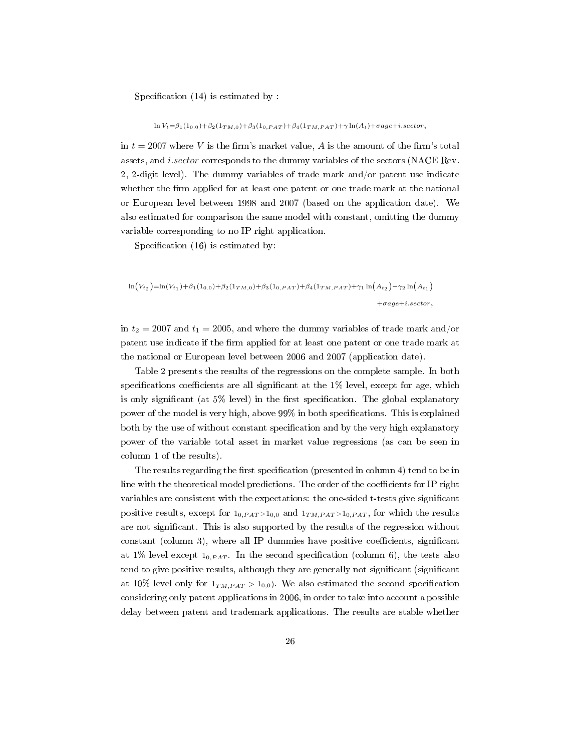Specification  $(14)$  is estimated by :

ln *<sup>V</sup>t*=*β*1(10*.*0)+*β*2(1*TM,*0)+*β*3(10*,P AT* )+*β*4(1*TM,P AT* )+*<sup>γ</sup>* ln(*At*)+*σage*+*i.sector,*

in  $t = 2007$  where V is the firm's market value, A is the amount of the firm's total assets, and *i.sector* corresponds to the dummy variables of the sectors (NACE Rev. 2, 2-digit level). The dummy variables of trade mark and/or patent use indicate whether the firm applied for at least one patent or one trade mark at the national or European level between 1998 and 2007 (based on the application date). We also estimated for comparison the same model with constant, omitting the dummy variable corresponding to no IP right application.

Specification  $(16)$  is estimated by:

# $\ln(V_{t_2}) = \ln(V_{t_1}) + \beta_1(1_{0.0}) + \beta_2(1_{TM,0}) + \beta_3(1_{0,PAT}) + \beta_4(1_{TM,PAT}) + \gamma_1\ln(A_{t_2}) - \gamma_2\ln(A_{t_1})$ <sup>+</sup>*σage*+*i.sector,*

in  $t_2 = 2007$  and  $t_1 = 2005$ , and where the dummy variables of trade mark and/or patent use indicate if the firm applied for at least one patent or one trade mark at the national or European level between 2006 and 2007 (application date).

Table 2 presents the results of the regressions on the complete sample. In both specifications coefficients are all significant at the  $1\%$  level, except for age, which is only significant (at  $5\%$  level) in the first specification. The global explanatory power of the model is very high, above 99% in both specications. This is explained both by the use of without constant specification and by the very high explanatory power of the variable total asset in market value regressions (as can be seen in column 1 of the results).

The results regarding the first specification (presented in column 4) tend to be in line with the theoretical model predictions. The order of the coefficients for IP right variables are consistent with the expectations: the one-sided t-tests give signicant positive results, except for  $1_{0, PAT} > 1_{0,0}$  and  $1_{TM, PAT} > 1_{0, PAT}$ , for which the results are not signicant. This is also supported by the results of the regression without constant (column 3), where all IP dummies have positive coefficients, significant at  $1\%$  level except  $1_{0,PAT}$ . In the second specification (column 6), the tests also tend to give positive results, although they are generally not significant (significant at 10% level only for  $1_{TM, PAT} > 1_{0,0}$ . We also estimated the second specification considering only patent applications in 2006, in order to take into account a possible delay between patent and trademark applications. The results are stable whether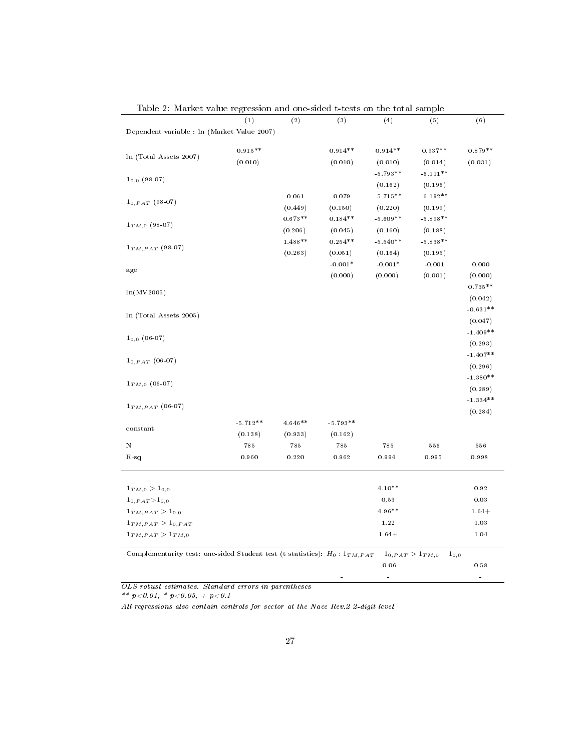|                                                                                                                   | (1)        | (2)       | (3)        | (4)        | (5)                | (6)        |
|-------------------------------------------------------------------------------------------------------------------|------------|-----------|------------|------------|--------------------|------------|
| Dependent variable : ln (Market Value 2007)                                                                       |            |           |            |            |                    |            |
|                                                                                                                   |            |           |            |            |                    |            |
| In (Total Assets 2007)                                                                                            | $0.915**$  |           | $0.914**$  | $0.914**$  | $0.937**$          | $0.879**$  |
|                                                                                                                   | (0.010)    |           | (0.010)    | (0.010)    | (0.014)            | (0.031)    |
| $1_{0,0}$ (98-07)                                                                                                 |            |           |            | $-5.793**$ | $-6.111**$         |            |
|                                                                                                                   |            |           |            | (0.162)    | (0.196)            |            |
| $1_{0,PAT}$ (98-07)                                                                                               |            | 0.061     | 0.079      | $-5.715**$ | $-6.192**$         |            |
|                                                                                                                   |            | (0.449)   | (0.150)    | (0.220)    | (0.199)            |            |
| $1_{TM,0}$ (98-07)                                                                                                |            | $0.673**$ | $0.184**$  | $-5.609**$ | $-5.898**$         |            |
|                                                                                                                   |            | (0.206)   | (0.045)    | (0.160)    | (0.188)            |            |
| $1_{TM, PAT}$ (98-07)                                                                                             |            | $1.488**$ | $0.254**$  | $-5.540**$ | $-5.838**$         |            |
|                                                                                                                   |            | (0.263)   | (0.051)    | (0.164)    | (0.195)            |            |
|                                                                                                                   |            |           | $-0.001*$  | $-0.001*$  | $-0.001$           | 0.000      |
| age                                                                                                               |            |           | (0.000)    | (0.000)    | (0.001)<br>(0.000) |            |
|                                                                                                                   |            |           |            |            |                    | $0.735**$  |
| ln(MV2005)                                                                                                        |            |           |            |            |                    | (0.042)    |
|                                                                                                                   |            |           |            |            |                    | $-0.631**$ |
| In (Total Assets 2005)                                                                                            |            |           |            |            |                    | (0.047)    |
|                                                                                                                   |            |           |            |            |                    | $-1.409**$ |
| $1_{0,0}$ (06-07)                                                                                                 |            |           |            |            |                    | (0.293)    |
|                                                                                                                   |            |           |            |            |                    | $-1.407**$ |
| $1_{0,PAT}$ (06-07)                                                                                               |            |           |            |            |                    | (0.296)    |
|                                                                                                                   |            |           |            |            |                    | $-1.380**$ |
| $\mathbf{1}_{TM,0}$ (06-07)                                                                                       |            |           |            |            |                    | (0.289)    |
|                                                                                                                   |            |           |            |            |                    | $-1.334**$ |
| $1_{TM, PAT}$ (06-07)                                                                                             |            |           |            |            |                    | (0.284)    |
|                                                                                                                   | $-5.712**$ | $4.646**$ | $-5.793**$ |            |                    |            |
| constant                                                                                                          | (0.138)    | (0.933)   | (0.162)    |            |                    |            |
| Ν                                                                                                                 | 785        | 785       | 785        | 785        | 556                | 556        |
| $R-sq$                                                                                                            | 0.960      | 0.220     | 0.962      | 0.994      | 0.995              | 0.998      |
|                                                                                                                   |            |           |            |            |                    |            |
|                                                                                                                   |            |           |            |            |                    |            |
| $1_{TM,0} > 1_{0,0}$                                                                                              |            |           |            | $4.10**$   |                    | 0.92       |
| $1_{0, PAT} > 1_{0,0}$                                                                                            |            |           |            | 0.53       |                    | 0.03       |
| $1_{TM, PAT} > 1_{0,0}$                                                                                           |            |           |            | 4.96**     |                    | $1.64+$    |
| $1_{TM, PAT} > 1_{0, PAT}$                                                                                        |            |           |            | 1.22       |                    | 1.03       |
| $1_{TM, PAT} > 1_{TM,0}$                                                                                          |            |           |            | $1.64+$    |                    | 1.04       |
| Complementarity test: one-sided Student test (t statistics): $H_0: 1_{TM, PAT} - 1_{0, PAT} > 1_{TM,0} - 1_{0,0}$ |            |           |            |            |                    |            |
|                                                                                                                   |            |           |            | $-0.06$    |                    | 0.58       |
|                                                                                                                   |            |           |            | ÷          |                    |            |
|                                                                                                                   |            |           |            |            |                    |            |

Table 2: Market value regression and one-sided t-tests on the total sample

OLS robust estimates. Standard errors in parentheses

 $^{\ast\,*}$  p  $<$  0.01,  $^{\ast}$  p  $<$  0.05, + p  $<$  0.1

All regressions also contain controls for sector at the Nace Rev.2 2-digit level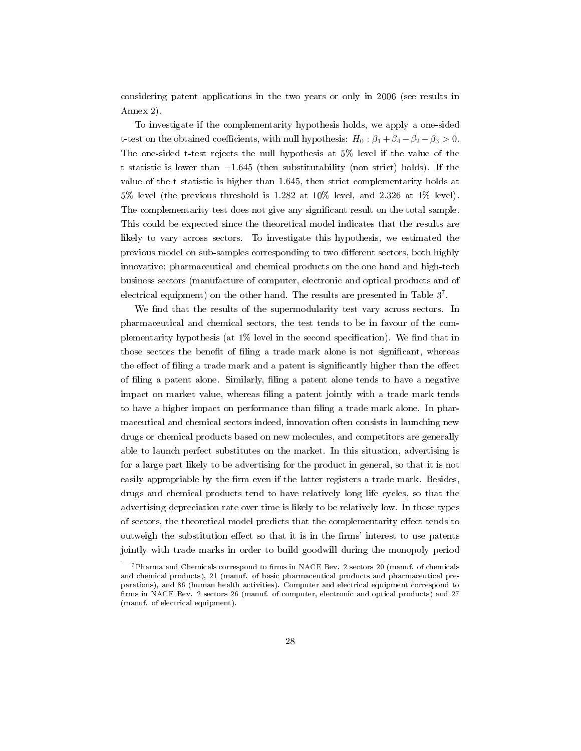considering patent applications in the two years or only in 2006 (see results in Annex 2).

To investigate if the complementarity hypothesis holds, we apply a one-sided t-test on the obtained coefficients, with null hypothesis:  $H_0: \beta_1 + \beta_4 - \beta_2 - \beta_3 > 0$ . The one-sided t-test rejects the null hypothesis at 5% level if the value of the t statistic is lower than *−*1*.*645 (then substitutability (non strict) holds). If the value of the t statistic is higher than 1*.*645, then strict complementarity holds at 5% level (the previous threshold is 1*.*282 at 10% level, and 2*.*326 at 1% level). The complementarity test does not give any signicant result on the total sample. This could be expected since the theoretical model indicates that the results are likely to vary across sectors. To investigate this hypothesis, we estimated the previous model on sub-samples corresponding to two different sectors, both highly innovative: pharmaceutical and chemical products on the one hand and high-tech business sectors (manufacture of computer, electronic and optical products and of electrical equipment) on the other hand. The results are presented in Table  $3^7$ .

We find that the results of the supermodularity test vary across sectors. In pharmaceutical and chemical sectors, the test tends to be in favour of the complementarity hypothesis (at  $1\%$  level in the second specification). We find that in those sectors the benefit of filing a trade mark alone is not significant, whereas the effect of filing a trade mark and a patent is significantly higher than the effect of filing a patent alone. Similarly, filing a patent alone tends to have a negative impact on market value, whereas ling a patent jointly with a trade mark tends to have a higher impact on performance than ling a trade mark alone. In pharmaceutical and chemical sectors indeed, innovation often consists in launching new drugs or chemical products based on new molecules, and competitors are generally able to launch perfect substitutes on the market. In this situation, advertising is for a large part likely to be advertising for the product in general, so that it is not easily appropriable by the firm even if the latter registers a trade mark. Besides, drugs and chemical products tend to have relatively long life cycles, so that the advertising depreciation rate over time is likely to be relatively low. In those types of sectors, the theoretical model predicts that the complementarity effect tends to outweigh the substitution effect so that it is in the firms' interest to use patents jointly with trade marks in order to build goodwill during the monopoly period

 $^{7}$ Pharma and Chemicals correspond to firms in NACE Rev. 2 sectors 20 (manuf. of chemicals and chemical products), 21 (manuf. of basic pharmaceutical products and pharmaceutical preparations), and 86 (human health activities). Computer and electrical equipment correspond to firms in NACE Rev. 2 sectors 26 (manuf. of computer, electronic and optical products) and 27 (manuf. of electrical equipment).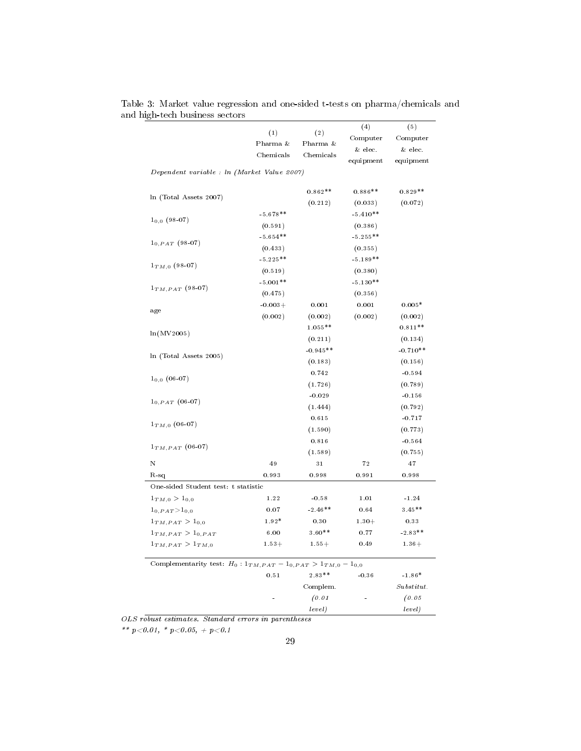|                                                                            |            |            | (4)        | (5)        |
|----------------------------------------------------------------------------|------------|------------|------------|------------|
|                                                                            | (1)        | (2)        | Computer   | Computer   |
|                                                                            | Pharma &   | Pharma &   | & elec.    | & elec.    |
|                                                                            | Chemicals  | Chemicals  | equipment  | equipment  |
| Dependent variable : ln (Market Value 2007)                                |            |            |            |            |
| In (Total Assets 2007)                                                     |            | $0.862**$  | $0.886**$  | $0.829**$  |
|                                                                            |            | (0.212)    | (0.033)    | (0.072)    |
| $1_{0,0}$ (98-07)                                                          | $-5.678**$ |            | $-5.410**$ |            |
|                                                                            | (0.591)    |            | (0.386)    |            |
|                                                                            | $-5.654**$ |            | $-5.255**$ |            |
| $1_{0,PAT}$ (98-07)                                                        | (0.433)    |            | (0.355)    |            |
|                                                                            | $-5.225**$ |            | $-5.189**$ |            |
| $1_{TM,0}$ (98-07)                                                         | (0.519)    |            | (0.380)    |            |
| $\mathbf{1}_{TM,PATH}$ (98-07)                                             | $-5.001**$ |            | $-5.130**$ |            |
|                                                                            | (0.475)    |            | (0.356)    |            |
|                                                                            | $-0.003+$  | 0.001      | 0.001      | $0.005*$   |
| age                                                                        | (0.002)    | (0.002)    | (0.002)    | (0.002)    |
|                                                                            |            | $1.055**$  |            | $0.811**$  |
| ln(MV2005)                                                                 |            | (0.211)    |            | (0.134)    |
| In (Total Assets 2005)                                                     |            | $-0.945**$ |            | $-0.710**$ |
|                                                                            |            | (0.183)    |            | (0.156)    |
| $1_{0,0}$ (06-07)                                                          |            | 0.742      |            | $-0.594$   |
|                                                                            |            | (1.726)    |            | (0.789)    |
|                                                                            |            | $-0.029$   |            | $-0.156$   |
| $1_{0,PAT}$ (06-07)                                                        |            | (1.444)    |            | (0.792)    |
|                                                                            |            | 0.615      |            | $-0.717$   |
| $1_{TM,0}$ (06-07)                                                         |            | (1.590)    |            | (0.773)    |
|                                                                            |            | 0.816      |            | $-0.564$   |
| $1_{TM, PAT}$ (06-07)                                                      |            | (1.589)    |            | (0.755)    |
| N                                                                          | 49         | 31         | 72         | 47         |
| $R-sq$                                                                     | 0.993      | 0.998      | 0.991      | 0.998      |
| One-sided Student test: t statistic                                        |            |            |            |            |
| $1_{TM,0} > 1_{0,0}$                                                       | 1.22       | $-0.58$    | 1.01       | $-1.24$    |
| $1_{0, PAT} > 1_{0,0}$                                                     | 0.07       | $-2.46**$  | 0.64       | $3.45**$   |
| $1_{TM, PAT} > 1_{0,0}$                                                    | $1.92*$    | 0.30       | $1.30 +$   | 0.33       |
| $1_{TM, PAT} > 1_{0, PAT}$                                                 | 6.00       | $3.60**$   | 0.77       | $-2.83**$  |
| $1_{TM, PAT} > 1_{TM,0}$                                                   | $1.53+$    | $1.55+$    | 0.49       | $1.36 +$   |
| Complementarity test: $H_0: 1_{TM, PAT} - 1_{0, PAT} > 1_{TM,0} - 1_{0,0}$ |            |            |            |            |
|                                                                            | 0.51       | $2.83**$   | $-0.36$    | $-1.86*$   |
|                                                                            |            | Complem.   |            | Substitut. |
|                                                                            |            | (0.01)     |            | (0.05)     |
|                                                                            |            | level)     |            | level)     |

Table 3: Market value regression and one-sided t-tests on pharma/chemicals and and high-tech business sectors

OLS robust estimates. Standard errors in parentheses

 $^{**}$   $p < 0.01,~^*$   $p < 0.05,~+~p < 0.1$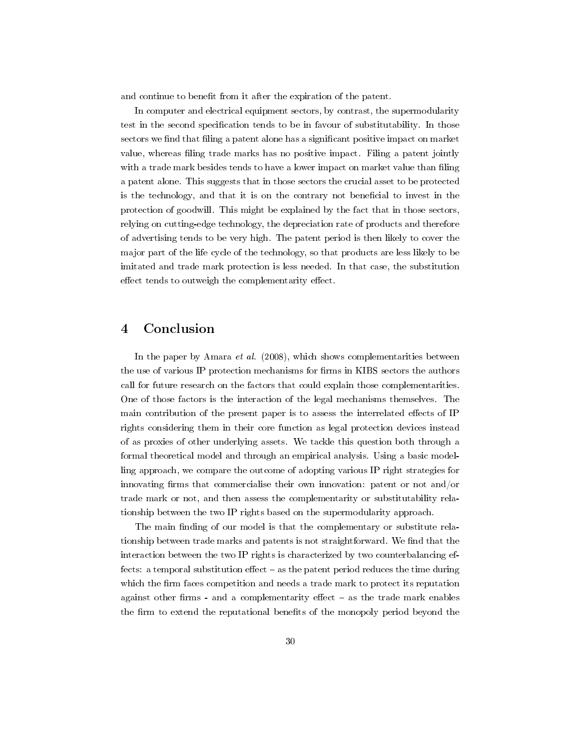and continue to benefit from it after the expiration of the patent.

In computer and electrical equipment sectors, by contrast, the supermodularity test in the second specification tends to be in favour of substitutability. In those sectors we find that filing a patent alone has a significant positive impact on market value, whereas filing trade marks has no positive impact. Filing a patent jointly with a trade mark besides tends to have a lower impact on market value than filing a patent alone. This suggests that in those sectors the crucial asset to be protected is the technology, and that it is on the contrary not beneficial to invest in the protection of goodwill. This might be explained by the fact that in those sectors, relying on cutting-edge technology, the depreciation rate of products and therefore of advertising tends to be very high. The patent period is then likely to cover the major part of the life cycle of the technology, so that products are less likely to be imitated and trade mark protection is less needed. In that case, the substitution effect tends to outweigh the complementarity effect.

# 4 Conclusion

In the paper by Amara *et al.* (2008), which shows complementarities between the use of various IP protection mechanisms for firms in KIBS sectors the authors call for future research on the factors that could explain those complementarities. One of those factors is the interaction of the legal mechanisms themselves. The main contribution of the present paper is to assess the interrelated effects of IP rights considering them in their core function as legal protection devices instead of as proxies of other underlying assets. We tackle this question both through a formal theoretical model and through an empirical analysis. Using a basic modelling approach, we compare the outcome of adopting various IP right strategies for innovating firms that commercialise their own innovation: patent or not and/or trade mark or not, and then assess the complementarity or substitutability relationship between the two IP rights based on the supermodularity approach.

The main finding of our model is that the complementary or substitute relationship between trade marks and patents is not straightforward. We find that the interaction between the two IP rights is characterized by two counterbalancing effects: a temporal substitution effect  $-$  as the patent period reduces the time during which the firm faces competition and needs a trade mark to protect its reputation against other firms - and a complementarity effect  $-$  as the trade mark enables the firm to extend the reputational benefits of the monopoly period beyond the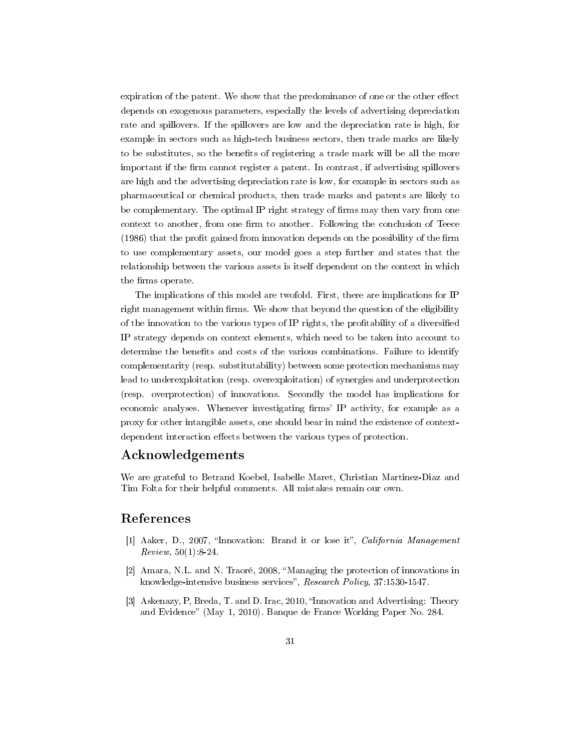expiration of the patent. We show that the predominance of one or the other effect depends on exogenous parameters, especially the levels of advertising depreciation rate and spillovers. If the spillovers are low and the depreciation rate is high, for example in sectors such as high-tech business sectors, then trade marks are likely to be substitutes, so the benets of registering a trade mark will be all the more important if the firm cannot register a patent. In contrast, if advertising spillovers are high and the advertising depreciation rate is low, for example in sectors such as pharmaceutical or chemical products, then trade marks and patents are likely to be complementary. The optimal IP right strategy of firms may then vary from one context to another, from one firm to another. Following the conclusion of Teece  $(1986)$  that the profit gained from innovation depends on the possibility of the firm to use complementary assets, our model goes a step further and states that the relationship between the various assets is itself dependent on the context in which the firms operate.

The implications of this model are twofold. First, there are implications for IP right management within firms. We show that beyond the question of the eligibility of the innovation to the various types of IP rights, the profitability of a diversified IP strategy depends on context elements, which need to be taken into account to determine the benefits and costs of the various combinations. Failure to identify complementarity (resp. substitutability) between some protection mechanisms may lead to underexploitation (resp. overexploitation) of synergies and underprotection (resp. overprotection) of innovations. Secondly the model has implications for economic analyses. Whenever investigating firms' IP activity, for example as a proxy for other intangible assets, one should bear in mind the existence of contextdependent interaction effects between the various types of protection.

### Acknowledgements

We are grateful to Betrand Koebel, Isabelle Maret, Christian Martinez-Diaz and Tim Folta for their helpful comments. All mistakes remain our own.

## References

- [1] Aaker, D., 2007, "Innovation: Brand it or lose it", *California Management*  $Review, 50(1):8-24.$
- [2] Amara, N.L. and N. Traoré, 2008, Managing the protection of innovations in knowledge-intensive business services", Research Policy, 37:1530-1547.
- [3] Askenazy, P, Breda, T. and D. Irac, 2010, "Innovation and Advertising: Theory and Evidence" (May 1, 2010). Banque de France Working Paper No. 284.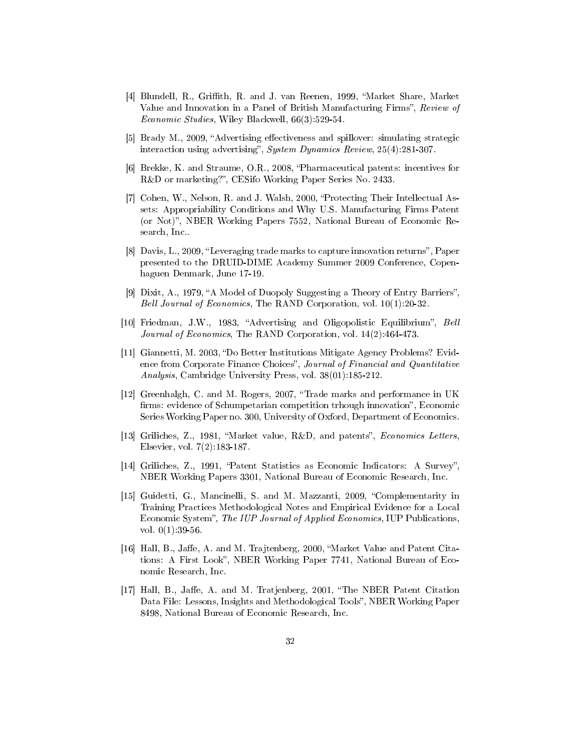- [4] Blundell, R., Griffith, R. and J. van Reenen, 1999, "Market Share, Market Value and Innovation in a Panel of British Manufacturing Firms", Review of Economic Studies, Wiley Blackwell, 66(3):529-54.
- [5] Brady M., 2009, "Advertising effectiveness and spillover: simulating strategic interaction using advertising", System Dynamics Review, 25(4):281-307.
- [6] Brekke, K. and Straume, O.R., 2008, Pharmaceutical patents: incentives for R&D or marketing?", CESifo Working Paper Series No. 2433.
- [7] Cohen, W., Nelson, R. and J. Walsh, 2000, Protecting Their Intellectual Assets: Appropriability Conditions and Why U.S. Manufacturing Firms Patent (or Not), NBER Working Papers 7552, National Bureau of Economic Research, Inc..
- [8] Davis, L., 2009, "Leveraging trade marks to capture innovation returns", Paper presented to the DRUID-DIME Academy Summer 2009 Conference, Copenhaguen Denmark, June 17-19.
- [9] Dixit, A., 1979, "A Model of Duopoly Suggesting a Theory of Entry Barriers", Bell Journal of Economics, The RAND Corporation, vol. 10(1):20-32.
- [10] Friedman, J.W., 1983, "Advertising and Oligopolistic Equilibrium", Bell Journal of Economics, The RAND Corporation, vol. 14(2):464-473.
- [11] Giannetti, M. 2003, "Do Better Institutions Mitigate Agency Problems? Evidence from Corporate Finance Choices", Journal of Financial and Quantitative Analysis, Cambridge University Press, vol. 38(01):185-212.
- [12] Greenhalgh, C. and M. Rogers, 2007, Trade marks and performance in UK firms: evidence of Schumpetarian competition trhough innovation". Economic Series Working Paper no. 300, University of Oxford, Department of Economics.
- [13] Griliches, Z., 1981, "Market value, R&D, and patents", *Economics Letters*, Elsevier, vol. 7(2):183-187.
- [14] Griliches, Z., 1991, "Patent Statistics as Economic Indicators: A Survey". NBER Working Papers 3301, National Bureau of Economic Research, Inc.
- [15] Guidetti, G., Mancinelli, S. and M. Mazzanti, 2009, Complementarity in Training Practices Methodological Notes and Empirical Evidence for a Local Economic System", The IUP Journal of Applied Economics, IUP Publications, vol.  $0(1)$ : 39-56.
- [16] Hall, B., Jaffe, A. and M. Trajtenberg, 2000, "Market Value and Patent Citations: A First Look", NBER Working Paper 7741, National Bureau of Economic Research, Inc.
- [17] Hall, B., Jaffe, A. and M. Tratjenberg, 2001, "The NBER Patent Citation Data File: Lessons, Insights and Methodological Tools", NBER Working Paper 8498, National Bureau of Economic Research, Inc.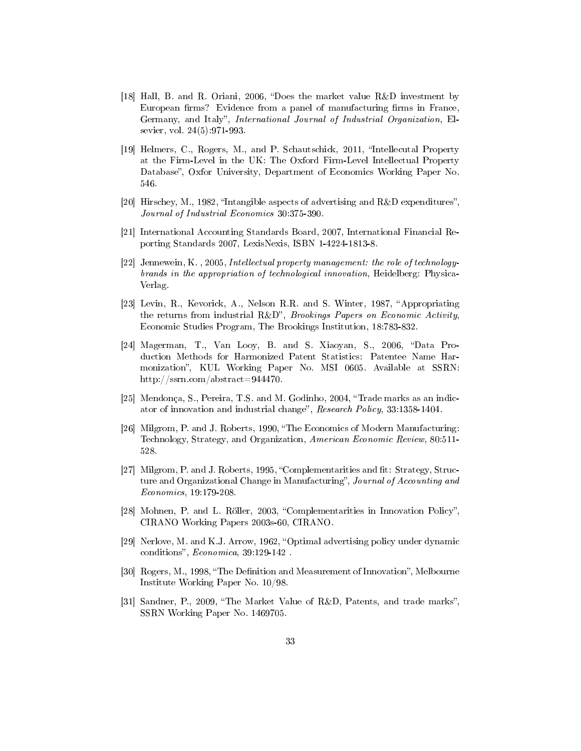- [18] Hall, B. and R. Oriani, 2006, "Does the market value  $R\&D$  investment by European firms? Evidence from a panel of manufacturing firms in France, Germany, and Italy", International Journal of Industrial Organization, Elsevier, vol. 24(5):971-993.
- [19] Helmers, C., Rogers, M., and P. Schautschick, 2011, "Intellecutal Property at the Firm-Level in the UK: The Oxford Firm-Level Intellectual Property Database", Oxfor University, Department of Economics Working Paper No. 546.
- [20] Hirschey, M., 1982, "Intangible aspects of advertising and R&D expenditures". Journal of Industrial Economics 30:375-390.
- [21] International Accounting Standards Board, 2007, International Financial Reporting Standards 2007, LexisNexis, ISBN 1-4224-1813-8.
- [22] Jennewein, K. , 2005, Intellectual property management: the role of technologybrands in the appropriation of technological innovation, Heidelberg: Physica-Verlag.
- [23] Levin, R., Kevorick, A., Nelson R.R. and S. Winter, 1987, "Appropriating the returns from industrial  $R\&D^r$ , *Brookings Papers on Economic Activity*, Economic Studies Program, The Brookings Institution, 18:783-832.
- [24] Magerman, T., Van Looy, B. and S. Xiaoyan, S., 2006, Data Production Methods for Harmonized Patent Statistics: Patentee Name Harmonization", KUL Working Paper No. MSI 0605. Available at SSRN: http://ssrn.com/abstract=944470.
- [25] Mendonça, S., Pereira, T.S. and M. Godinho, 2004, Trade marks as an indicator of innovation and industrial change", Research Policy, 33:1358-1404.
- [26] Milgrom, P. and J. Roberts, 1990, The Economics of Modern Manufacturing: Technology, Strategy, and Organization, American Economic Review, 80:511- 528.
- [27] Milgrom, P. and J. Roberts, 1995, "Complementarities and fit: Strategy, Structure and Organizational Change in Manufacturing", Journal of Accounting and Economics, 19:179-208.
- [28] Mohnen, P. and L. Röller, 2003, "Complementarities in Innovation Policy". CIRANO Working Papers 2003s-60, CIRANO.
- [29] Nerlove, M. and K.J. Arrow, 1962, "Optimal advertising policy under dynamic conditions",  $Economica$ , 39:129-142.
- [30] Rogers, M., 1998, "The Definition and Measurement of Innovation", Melbourne Institute Working Paper No. 10/98.
- [31] Sandner, P., 2009, "The Market Value of R&D, Patents, and trade marks", SSRN Working Paper No. 1469705.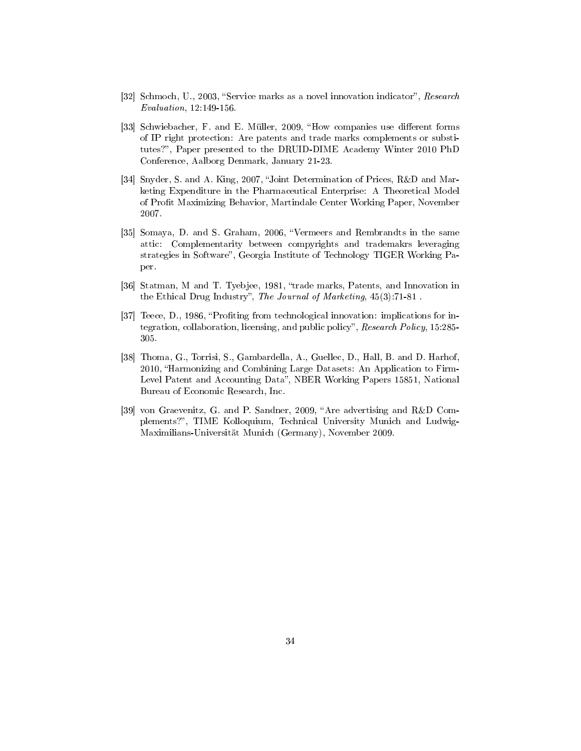- [32] Schmoch, U., 2003, "Service marks as a novel innovation indicator", Research Evaluation, 12:149-156.
- [33] Schwiebacher, F. and E. Müller, 2009, "How companies use different forms of IP right protection: Are patents and trade marks complements or substitutes?", Paper presented to the DRUID-DIME Academy Winter 2010 PhD Conference, Aalborg Denmark, January 21-23.
- [34] Snyder, S. and A. King, 2007, "Joint Determination of Prices, R&D and Marketing Expenditure in the Pharmaceutical Enterprise: A Theoretical Model of Profit Maximizing Behavior, Martindale Center Working Paper, November 2007.
- [35] Somaya, D. and S. Graham, 2006, Vermeers and Rembrandts in the same attic: Complementarity between compyrights and trademakrs leveraging strategies in Software", Georgia Institute of Technology TIGER Working Paper.
- [36] Statman, M and T. Tyebjee, 1981, "trade marks, Patents, and Innovation in the Ethical Drug Industry", The Journal of Marketing,  $45(3)$ : 71-81.
- [37] Teece, D., 1986, "Profiting from technological innovation: implications for integration, collaboration, licensing, and public policy", Research Policy, 15:285-305.
- [38] Thoma, G., Torrisi, S., Gambardella, A., Guellec, D., Hall, B. and D. Harhof, 2010, Harmonizing and Combining Large Datasets: An Application to Firm-Level Patent and Accounting Data", NBER Working Papers 15851, National Bureau of Economic Research, Inc.
- [39] von Graevenitz, G. and P. Sandner, 2009, "Are advertising and  $R\&D$  Complements?", TIME Kolloquium, Technical University Munich and Ludwig-Maximilians-Universität Munich (Germany), November 2009.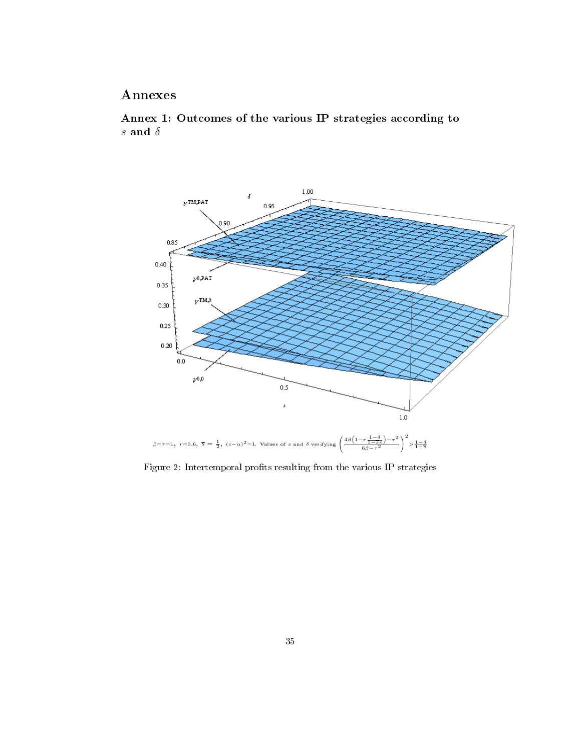# Annexes

Annex 1: Outcomes of the various IP strategies according to *s* and  $\delta$ 



Figure 2: Intertemporal profits resulting from the various IP strategies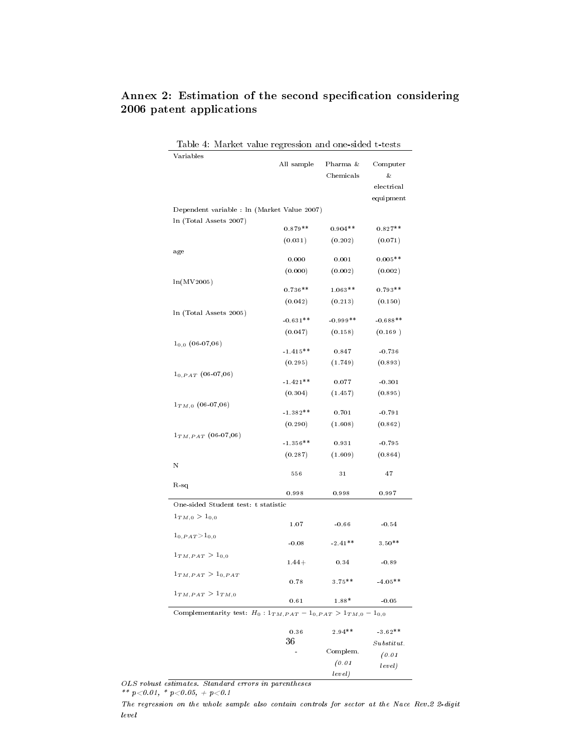| Table 4: Market value regression and one-sided t-tests                     |            |            |            |
|----------------------------------------------------------------------------|------------|------------|------------|
| Variables                                                                  | All sample | Pharma &   | Computer   |
|                                                                            |            | Chemicals  | &          |
|                                                                            |            |            | electrical |
|                                                                            |            |            | equipment  |
| Dependent variable : ln (Market Value 2007)                                |            |            |            |
| In (Total Assets 2007)                                                     |            |            |            |
|                                                                            | $0.879**$  | $0.904**$  | $0.827**$  |
|                                                                            | (0.031)    | (0.202)    | (0.071)    |
| age                                                                        |            |            |            |
|                                                                            | 0.000      | 0.001      | $0.005**$  |
|                                                                            | (0.000)    | (0.002)    | (0.002)    |
| ln(MV2005)                                                                 | $0.736**$  | $1.063**$  | $0.793**$  |
|                                                                            | (0.042)    | (0.213)    | (0.150)    |
| In (Total Assets 2005)                                                     |            |            |            |
|                                                                            | $-0.631**$ | $-0.999**$ | $-0.688**$ |
|                                                                            | (0.047)    | (0.158)    | (0.169)    |
| $1_{0.0}$ (06-07,06)                                                       |            |            |            |
|                                                                            | $-1.415**$ | 0.847      | $-0.736$   |
|                                                                            | (0.295)    | (1.749)    | (0.893)    |
| $1_{0,PAT}$ (06-07,06)                                                     | $-1.421**$ | 0.077      | $-0.301$   |
|                                                                            | (0.304)    | (1.457)    | (0.895)    |
| $1_{TM,0}$ (06-07,06)                                                      |            |            |            |
|                                                                            | $-1.382**$ | 0.701      | $-0.791$   |
|                                                                            | (0.290)    | (1.608)    | (0.862)    |
| $\mathbf{1}_{TM,PAT}$ $(06\text{-}07,06)$                                  |            |            |            |
|                                                                            | $-1.356**$ | 0.931      | $-0.795$   |
|                                                                            | (0.287)    | (1.609)    | (0.864)    |
| N                                                                          |            |            |            |
|                                                                            | 556        | 31         | 47         |
| R-sq                                                                       | 0.998      | 0.998      | 0.997      |
| One-sided Student test: t statistic                                        |            |            |            |
| $1_{TM,0} > 1_{0,0}$                                                       |            |            |            |
|                                                                            | 1.07       | $-0.66$    | $-0.54$    |
| $\scriptstyle 1_{0,PAT} > 1_{0,0}$                                         |            |            |            |
|                                                                            | $-0.08$    | $-2.41**$  | $3.50**$   |
| $1_{TM, PAT} > 1_{0,0}$                                                    | $1.44+$    | 0.34       | $-0.89$    |
|                                                                            |            |            |            |
| $1_{TM, PAT} > 1_{0, PAT}$                                                 | 0.78       | $3.75***$  | $-4.05***$ |
| $1_{TM, PAT} > 1_{TM,0}$                                                   |            |            |            |
|                                                                            | 0.61       | 1.88*      | $-0.05$    |
| Complementarity test: $H_0: 1_{TM, PAT} - 1_{0, PAT} > 1_{TM,0} - 1_{0,0}$ |            |            |            |
|                                                                            |            |            |            |
|                                                                            | 0.36<br>36 | $2.94**$   | $-3.62**$  |
|                                                                            |            | Complem.   | Substitut. |
|                                                                            |            | (0.01)     | (0.01)     |
|                                                                            |            |            | $l$ onol)  |

# Annex 2: Estimation of the second specification considering 2006 patent applications

OLS robust estimates. Standard errors in parentheses

\*\*  $p < 0.01$ , \*  $p < 0.05$ , +  $p < 0.1$ 

The regression on the whole sample also contain controls for sector at the Nace Rev.2 2-digit level

level)

level)